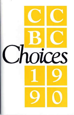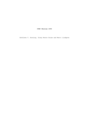**CCBC Choices 1990**

Kathleen T. Horning, Ginny Moore Kruse and Merri Lindgren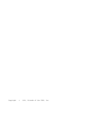Copyright c 1991, Friends of the CCBC, Inc.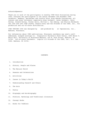#### Acknowledgements

Thank you to each of the participants in monthly CCBC Book Discussions during 1990; everyone who participated in the annual November and December CCBC Caldecott, Newbery, Batchelder and Coretta Scott King Awards Discussions; all content and other reviewers--especially Alan Caldwell, Cathy Caldwell, Carol Farley, Donald Farley, Funiko Saito, William L. Van Deburg, and Phyllis Weisbard; the 1990 and 1991 CCBC staffs; Donald Crary and the Friends of the CCBC, Inc., for production and out-of-state distribution.

CCBC CHOICES 1990 was designed by and produced by at Impressions, Inc., Madison, Wisconsin.

For information about CCBC publications, Wisconsin residents may send a selfaddressed, stamped envelope to: Cooperative Children's Book Center, 4290 Helen C. White Hall, University of Wisconsin-Madison, 600 N. Park Street, Madison, WI 53706. Out-of-state residents: inquire c/o Friends of the CCBC, Inc., P.O. Box 5288, Madison, WI 53705.

### CONTENTS

- 1. Introduction
- 2. History, People and Places
- 3. The Natural World
- 4. Seasons and Celebrations
- 5. Activities
- 6. Issues in Today's World
- 7. Understanding Oneself and Others
- 8. The Arts
- 9. Poetry
- 10. Biography and Autobiography
- 11. Folklore, Mythology and Traditional Literature
- 12. Concept Books
- 13. Books for Toddlers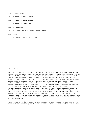- 14. Picture Books
- 15. Fiction for New Readers
- 16. Fiction for Young Readers
- 17. Fiction for Teenagers
- 18. New Editions
- 19. The Cooperative Children's Book Center
- 20. Index
- 21. The Friends of the CCBC, Inc.

#### **About the Compilers**

Kathleen T. Horning is a librarian and coordinator of special collections at the Cooperative Children's Book Center at the University of Wisconsin-Madison. She is also a children's librarian at Madison Public Library. She is the editor of the 3rd and 4th editions of the ALTERNATIVE PRESS PUBLISHERS OF CHILDREN'S BOOKS; A DIRECTORY (Friends of the CCBC, Inc., 1988 and 1991) and the co-author with Ginny Moore Kruse of MULTICULTURAL LITERATURE FOR CHILDREN AND YOUNG ADULTS (3rd edition, 1991). She served on the American Library Associations 1987 and 1988 Notable Children's Books Committee, the 1990 Newbery Award Committee and the 1989- 91 Coretta Scott King Book Awards Committee. She chairs the 1991-92 US/International Board of Books for Young People (IBBY) Hans Christian Andersen Awards Committee. She lectures and writes on children's literature subjects at the CCBC and elsewhere, including a quarterly book review column about small press children's books for the ALA journal BOOKLIST. This is the ninth annual CCBC CHOICES, for which she read and selected books. She has a B.A. in Linguistics and a Master's Degree in Library and Information Studies, both from the University of Wisconsin-Madison.

Ginny Moore Kruse is a librarian and director of the Cooperative Children's Book Center at the University of Wisconsin-Madison. She is a former classroom teacher,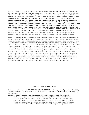school librarian, public librarian and college teacher of children's literature. As part of the CCBC's outreach services, she frequently lectures at the CCBC and elsewhere and teaches continuing education courses offered through the UW-Madison Office of Outreach Development. She is active on state and national Intellectual Freedom committees and is the founder of the award-winning CCBC Intellectual Freedom Information Services. She has chaired or served on national children's literature award and distinction committees including the Newbery, Caldecott, Batchelder, Arbuthnot, Coretta Scott King, Boston Globe-Horn Book, Jane Addams and Teachers' Choices committees. She is chair of the Editorial Advisory Board of BOOK LINKS (ALA). She writes book reviews and columns for national journals and is co-author with Kathleen T. Horning of MULTICULTURAL LITERATURE FOR CHILDREN AND YOUNG ADULTS (3rd edition, 1991). She has read and selected books for CCBC CHOICES since 1980. She has a B.S. Degree in Education from UW-Oshkosh and a Master's Degree in Library Science from the University of Wisconsin-Madison.

Merri V. Lindgren is a librarian and administrator at the Cooperative Children's Book Center at the University of Wisconsin-Madison. She compiled and edited the CCBC RESOURCE LIST FOR APPEARANCES BY WISCONSIN BOOK CREATORS (2nd edition, 1990) and CHILDREN'S BOOKS BY WISCONSIN AUTHORS AND ILLUSTRATORS AND CHILDREN'S BOOKS ABOUT WISCONSIN; AN IDENTIFICATION RECORD OF TITLES PUBLISHED IN 1989 (1990). She reviews children's books for several publications and plans and conducts bookrelated programs for children and adults in public libraries and schools. She is an active member of the American Library Association. She worked with Katy and Ginny on MULTICULTURAL LITERATURE FOR CHILDREN AND YOUNG ADULTS (3rd edition, 1991). Although this is the first CCBC CHOICES for which she read and selected books, she has participated in monthly and annual CCBC book discussions since 1988. She graduated from UW-Madison with a B.A. Degree in Psychology and has a Master's Degree in Library and Information Studies from the University of Wisconsin-Madison. She also works at a Madison children's bookstore.

# **HISTORY, PEOPLE AND PLACES**

Anderson, William. LAURA INGALLS WILDER COUNTRY. Photographs by Leslie A. Kelly. Harper Perennial/HarperCollins. 119 pages. Paperback with perfect binding. (0- 06-097346-3) \$19.95

Numerous color photographs and black-and-white documentary photographs picture the people and places of Laura Ingalls Wilder's well known series based on her early life in Wisconsin, Minnesota, Kansas, Iowa and South Dakota. Brief explanatory text and reproductions of Little House illustrations by Helen Sewell, Mildred Boyle and Garth Williams serve to link Wilder's fiction with the real people and places that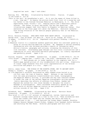inspired her work. (Age 7 and older)

Bunting, Eve. THE WALL. Illustrated by Ronald Himler. Clarion. 30 pages.  $(0-395-51588-2)$  \$13.95 "This is the wall, my grandfather's wall. On it are the names of those killed in a war, long ago." So begins the picture book first visit of a young boy and his father to the Vietnam Veterans Memorial in Washington, D. C. The child experiences other "firsts," too: weeping adults and a wheelchair-mobile veteran. The father is quiet and moved; the boy has questions. The illustrations suggest that this family is Hispanic or American Indian. Four sentences on the final page tell about the Memorial. Restraint earmarks this strong evocation of the emotion people generally feel at the Memorial. (Ages 4-9)

Ellis, Veronica Freeman. AFRO-BETS FIRST BOOK ABOUT AFRICA. Illustrated by George Ford. Just Us Books (301 Main St., Suite 22-24, Orange, NJ 07050). 32 pages. (0-940975-12-2) \$13.95 (Paperback with perfect binding: 0-940975-03- 3) \$6.95

- A Ghanaian visitor to a classroom answers questions about his continent posed by a group of curious African-American children. Mr. Amegashi's natural-sounding conversation with the children provides a wealth of information about Africa's history, geography and cultures, stressing the diversity of this rich continent. Outstanding page designs use full-color illustrations and a combination of color and black-and-white photographs, all clearly reproduced and perfectly placed. (Ages 6-12)
- Florian, Douglas. CITY STREET. Greenwillow. 32 pages. (0-688-09544-5) \$12.95 "City street / jumping feet / traffic cop / bus stop / skateboards roll / hockey goal ... " Each phrase set in large typeface is the complete text for a double page spread picture of city neighborhood life and living. Simplicity of visual image earmarks this full-color representation of the diverse activities and people in a city. (Ages 2-5)

Giblin, James Cross. THE RIDDLE OF THE ROSETTA STONE; KEY TO ANCIENT EGYPT. Thomas Y. Crowell. 85 pages. (0-690-04799-1) \$13.89 In 1799 Napoleon's soldiers discovered an oddly shaped stone buried in an old fort near the town of Rosetta, Egypt. Because it was inscribed with the same proclamation transliterated into Greek, hieroglyphics and Egyptian demotic writing, it provided the key that scholars needed to break the code of the ancient Egyptian hieroglyphic writing system. Giblin describes the efforts of scholars from France, Sweden and England who worked for over three decades to decipher the stone's message in hieroglyphics. Their successes eventually opened up the whole world of ancient Egyptian history as was preserved in the written records of the time. (Ages 9-14)

Golenbock, Paul. TEAMMATES. Illustrated by Paul Bacon. Harcourt Brace Jovanovich. 28 pages. (0-15-200603-6) \$15.95

This brief 11 1/4" x 8 3/4" account of segregation, racism, humiliation and personal courage takes place at a time in the U.S.A. "when automobiles were black and looked like tanks and the laundry was white and hung on clotheslines to dry ... " and features the former Negro Leagues, Brooklyn Dodgers General Manager Branch Rickey, Dodgers first baseman Jackie Robinson and shortstop Pee Wee Reese. Archival photographs and full-color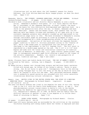illustrations tell as much about the 1947 baseball season for Jackie Robinson, the first African-American Major League player, as does the short text. (Ages 5-10)

Hamanaka, Sheila. THE JOURNEY; JAPANESE AMERICANS, RACISM AND RENEWAL. Richard Jackson/Orchard Books. 40 pages. (0-531-08449-3) \$18.99 Children's book illustrator and art director Sheila Hamanaka is also a mural

artist. Hamanaka's dramatic fove-panel, 25' x 8' mural depicts the World War II internment of her Japanese American, or Nisei, elders; the mural forms the basis for this distinctive distinguished and important book. As a child in the generation born after the war, or Sansei, Hamanaka and most other Americans - Sansei and non-Sansei alike, were unaware that 120,000 American male and female citizens and residents of all ages with up to onesixteenth Japanese ancestry were abruptly rounded up and imprisoned in ten concentration camps early in 1942. The book witnesses to Hamanaka's journey through justifiable anger by providing 30 close-up glimpses of mural sections accompanied by a terse uncompromising account of the conditions of the imprisonment. One portion of the mural utilizes the Japanese Bunraki puppet tradition to show U.S. military personnel acting in the "theater of war", while a Noh drama pose is incorporated into the section about a challenge to the imprisonment in the U.S. Supreme Court. The full mural is reproduced on a double-page spread at the end. The 9  $3/4"$  x 11  $3/4"$  book begins and ends with the visual and intellectual connection of tradition (the tale of Momotaro, or Peach Boy), U.S. labor history (peach picker) and hope (a contemporary preschool-aged child offering a peach to the viewer of the artistic commentary). Readers, too, receive a new perspective of history, tradition and hope. (Age 9 and older)

Heide, Florence Parry and Judith Heide Gilliland. THE DAY OF AHMED'S SECRET. Illustrated by Ted Lewin. Lothrop, Lee & Shepard. 32 pages. (0-688-08895-3) \$13.88

As Ahmed drives a donkey cart through busy streets and delivers heavy canisters filled with butane gas, he thinks of his father's advice: "Hurry to grow strong...But do not hurry to grow old." Contemporary Cairo is the setting for a young "butagaz boy" to tell the story of the day on which he tells his family he learned to write his own name. Well patterned sentences shaped into a wonderfully paced narrative are extended with full-color watercolor illustrations detailing cultural information. (Ages 5-9)

Hewett, Joan. HECTOR LIVES IN THE UNITED STATES NOW; THE STORY OF A MEXICAN- AMERICAN CHILD. Photographs by Richard Hewett. Lippincott. 44 pages. (0-397-32278-X) \$13.89

Ten-year-old Hector Almaraz has lived in Los Angeles for most of his life, having come to the U.S. with his family from Guadalajara, Mexico, at age 2. This photodocumentary account traces events in Hector's life in the months preceding the deadline for application for permanent residency under the U.S. immigration's amnesty act in 1988, as Hector and his family face the difficult decision of whether to stay in Los Angeles or to follow their dream of returning to Mexico. (Ages 7-12)

............. LAURA LOVES HORSES. Photographs by Richard Hewett. Clarion. 40 pages. (0-89919-844-9) \$14.95

Eight-year-old Laura Santana grew up surrounded by the activities at the southern California boarding and riding stable where her father is employed and near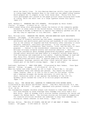which the family lives. To this Mexican-American child's long-time pleasure in riding Sugar Baby bareback down to the creek are now added riding lessons which prepare her to compete in her first horse show. Thirty-five fullcolor photographs well placed on the pages picture Laura enjoying both kinds of riding, while the short text in a large typeface echoes this spirit. (Ages 4-9)

Huff, Barbara A. GREENING THE CITY STREETS. Photographs by Peter Ziebel. Clarion. 61 pages. (0-89919-741-8) \$15.95

A photo-essay using color photographs traces the history of the community garden movement in urban areas of the United States, focusing on the Sixth Street and Avenue B Garden in Manhattan to explain how community gardens are set up and why they're important to city dwellers. (Ages 8-11)

Katz, William Loren. BREAKING THE CHAINS; AFRICAN-AMERICAN SLAVE RESISTANCE. Atheneum. 208 pages. (0-689-31493-0) \$14.95

Autobiographies of formerly enslaved men and women, newspapers, nineteenth century antislavery and abolitionist publications and hundreds of oral histories on file at the Library of Congress and Fisk University offer testimony to slave defiance, endurance, resilience and bravery. In his introduction, the author states that slavemasters "bent history, truth, and the Bible to their purposes ... Central to the slaveholders' reasoning was the lie that Africans willingly accepted slavery and rejected rebellion." Katz counters the false information about bondage perpetuated throughout generations through school materials and mass media in a powerful account drawn mostly from testimonies and organized in four parts: Fighting Bondage on Land and Sea; Daily Toil; Perilous Struggle; and Marching to Freedom. Over 60 captioned black-and-white half- or quarter-page-size reproductions of photographs, drawings, posters and other visual material about the subject create part of the book's strong impact. (Age 12 and older)

Kudlinski, Kathleen V. HERO OVER HERE. Illustrated by Bert Dodson. (Once Upon America) Viking. 54 pages. (0-670-83050-X) \$11.95

When his father and older brother go off to fight in World War I, ten-yearold Theodore feels left behind and useless. His chance for heroism comes, however, when it is left to him to care for his mother, sister and a homeless stranger who become seriously ill with the flu. A short, historical novel is set against the backdrop of the 1918 flu epidemic which claimed the lives of 22 million people worldwide. (Ages 7-10)

McLain, Gary. THE INDIAN WAY; LEARNING TO COMMUNICATE WITH MOTHER EARTH. Illustrated by Gary McLain and Michael Taylor. John Muir Publications (P.O. Box 613, Santa Fe, MN 87504). 103 pages. Paperback with perfect binding. (0-945465- 73-4) \$9.95

Two contemporary Arapaho children always look forward to times when there is a full moon because on those evenings their Grandpa Iron tells them a Full Moon Story. Each of Grandpa Iron's stories teaches reverence for nature and respect for Mother Earth. The thirteen stories are followed by suggestions for creative activities children can undertake to help them remember the ecological lesson inherent in each story. (Ages 7-11)

Meltzer, Milton. THE BILL OF RIGHTS; HOW WE GOT IT AND WHAT IT MEANS. Thomas Y. Crowell. 180 pages. (0-690-04805-X) \$14.89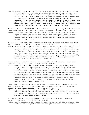The "historical forces and conflicting interests" leading to the creation of the Bill of Rights are explored, along with the meaning of each of these ten amendments to the U.S. Constitution. Applications and interpretations of the Bill of Rights during the past 200 years are discussed in sections such as: The Right to Dissent; Freedom - and the Witch-Hunt; Secrecy and Censorship; A Nation of Joiners; Gun Control; The Right to be Let Alone; The Right to Remain Silent; The Promise of a Fair Trial; The Law Should be Humane; and Powers That Belong to the People. A time line, bibliography and index add to the value of a timely analysis. (Age 11 and older)

Morimoto, Junko. MY HIROSHIMA. Translated from the Japanese by Isao Morimoto and Anne Bower Ingram. U.S. edition: Viking. 32 pages. (0-670-83181-6) \$12.95 Based on childhood memories, the Japanese artist recalls her life in Hiroshima before and after the atomic bomb was dropped on August 6, 1945. A spare text combined with detailed pen-and-ink and watercolor illustrations contrasts the daily life routines before the bomb with the devastation afterwards. (Ages 9-12)

Murphy, Jim. THE BOYS' WAR; CONFEDERATE AND UNION SOLDIERS TALK ABOUT THE CIVIL WAR. Clarion. 110 pages. (0-89919-893-7) \$15.95

Using excerpts from letters and diaries written by boys between the ages of 12 and 18 who served in the Confederate and Union armies, the author provides an intriguing history of the Civil War which focuses on the experiences of the War's youngest soldiers. Some of the boys were "tall 14 year olds who lied about their ages" and others were drummer boys who took up arms on the battlefield. The fifty accompanying documentary photographs were carefully chosen; in most of them, the youthfulness of the soldiers pictured is obvious, sometimes shockingly so. (Age 9 and up)

Oneal, Zibby. A LONG WAY TO GO. Illustrated by Michael Dooling. (Once Upon America) Viking. 54 pages. (0-670-82532-8) \$11.95

Eight-year-old Lila is the pampered eldest daughter in an upper-class family living in New York City during World War I. Although she bristles under seemingly unreasonable rules about how she should behave, it has never occurred to her to question her father's authority until she finds out that her grandmother has been arrested at a Women's Suffrage demonstration. When her parents refuse to talk to her about it, Lila finds her own ways to learn more about her grandmother's political activity and even marches in a demonstration herself. An easy-to-read fictional account of one girl's awakening political consciousness introduces the historical struggle for women's voting rights. (Ages 7-10)

Pelz, Ruth. BLACK HEROES OF THE WILD WEST. Illustrated by Leandro Della Piana. Open Hand Publishing (P.O. Box 22048, Seattle, Washington 98122). 55 pages. Paperback with perfect binding. (0-940880-26-1) \$5.95

Short biographical essays highlight the lives of African-American explorers, pioneers, entrepreneurs and cowboys who helped shape the West. Six men and three women are featured in a highly accessible volume which pulls together much hard-to-find information. (Ages 7-9)

Rappaport, Doreen. AMERICAN WOMEN; THEIR LIVES IN THEIR WORDS. Thomas Y. Crowell. 336 pages. (0-690-04819-X) \$14.95 Using women's experiences throughout the recorded history of this continent, this easily readable compendium contains excerpts from interviews, articles,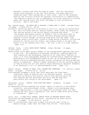speeches, journals and other writings by women. From the time before contact with Europeans to the late 20th century, the women speak for themselves about their perceptions of their roles. Much of the excerpted material was initially written for personal clarification or communication. The compiler's point of view is unambiguous, as is her intention to include women with varying ethnic and racial heritages in this introductory overview. (Age 12 and older)

Ray, Deborah Kogan. MY DADDY WAS A SOLDIER; A WORLD WAR II STORY. Holiday House. 40 pages. (0-8234-0795-0) \$12.95

Accurately reflecting specifics of girlhood in the U.S.A. during the Second World War, Ray's fictional portrait feature Jeannie, whose father was drafted in 1943 and who served in the Pacific before returning home after V-J Day. The frankly sentimental account of domestic life on the home front is illustrated with more than 20 black and white drawings showing Jeannie tending a Victory Garden, collecting scrap metal with her wagon, food shopping using a ration book, trying to sleep during a blackout, writing and waiting for letters from her father, and finding things to do while her mother is at her defense plant shift. The text is set in a large typeface. (Ages 7-10)

Schmidt, Diane. I AM A JESSE WHITE TUMBLER. Albert Whitman. 40 pages.  $(0-8075-3444-7)$  \$13.95

Kenyon Conner tells about being a member of the Chicago-based tumbling team since he was five. The combination of personal discipline, tumbling expertise, team cooperation and showmanship required of all Jesse White Tumblers is clear in 34 color photographs showing the internationally respected Tumblers performing at city neighborhood events as well as in metropolitan arenas. Kenyon's directly expressed personal account interprets his African-American family circumstances. Kenyon's upbeat awareness of the far-reaching impacts of team activity for his life and for others develops an important dimension of an absorbing 8 1/4" x 9" photodocumentary book. (Ages 7-12)

Shemie, Bonnie. HOUSES OF BARK; TIPI, WIGWAM AND LONGHOUSE. U.S. edition: Tundra Books. 24 pages. (0-88776-246-8) \$12.95

Line drawings accompany a brief text which describes the three basic traditional types of shelters built by Woodland Indians. Pictures show both an exterior and interior view of each dwelling while the text explains how the structures were built and why they were particularly well suited to the environment. (Ages 6-9)

Skurzynski, Gloria. ROBOTS; YOUR HIGH-TECH WORLD. Bradbury. 64 pages. (0-02- 782917-0) \$15.95 An engrossing overview examines the current impact of robotics in the medical, scientific, and entertainment fields. Dynamic color photographs show robotic applications, a time line summarizes milestones since 1515 when Leonardo da Vinci built a mechanical lion, and an index gives quick access to information. (Ages 9-12)

Strom, Yale. A TREE STILL STANDS; JEWISH YOUTH IN EASTERN EUROPE TODAY. Interviews and photographs by Yale Strom. Introduction by Sonia Levitin. Philomel. 111 pages. (0-399-22154-9) \$16.95 Prior to the Holocaust there were roughly five million Jews living in

Eastern Europe; today there are fewer than 200,000. First-person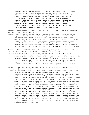statements from over 50 Jewish children and teenagers currently living in Eastern Europe reveal a range of thoughts about their Jewish cultural and religious identities; some prefer not to think about it at all and others work hard to keep their traditions alive, mostly through connections with their grandparents. Says a Hungarian teenager: "Now many parents don't have any idea about religion and it is their children who teach them." Conducted at a time when Eastern Europe was just beginning to go through enormous social changes, Strom's interviews present youths who view their uncertain futures with a mixture of hope and fear. (Age 9 and older)

Treseder, Terry Walton. HEAR O ISRAEL; A STORY OF THE WARSAW GHETTO. Atheneum. 40 pages. (0-689-31456-6) \$13.95

Isaac, a boy in the Warsaw Ghetto, is certain of his family's love and of the respect of the Jewish community throughout their endurance of anti-Semitic acts during the Second World War. As Isaac begins to realize he will no doubt perish in a death camp, he resolves to die with the same pride he as always felt in being a Jew. The sober, powerful first-person novella is divided into four sections: Bar Mitzvah, Hunger, Train Ride and Treblinka. Bloom's five paintings reproduced in monochrome contribute to the bravery and nobility of a testament to love, faith and courage. (Age 13 and older)

Tresselt, Alvin. WAKE UP, CITY! Illustrated by Carolyn Ewing. Revised edition: Lothrop, Lee & Shepard. 32 pages. (0-688-08652-7) \$12.95

People stir and waken on an early morning in a city. "In a harbor a great freighter from across the world comes in on the morning tide ... " Food is unloaded at noisy markets. Buses run. A pajama-clad child notices birds at the window feeder. The cat goes inside. Nothing and everything happen. All children, workers, police officers, and others represent the ordinary busyness and racial diversity common to a city. New, full-color illustrations update a picture book text over 30 years old. (Ages 3-7)

Wheatley, Nadia and Donna Rawlins. MY PLACE. U.S. edition: Australia in Print. 48 pages. (0-7328-0010-2) \$14.95

A powerful cultural history of a fictional Australian neighborhood begins in 1988. This and subsequent double-page spreads are written, designed and

illustrated according to a pattern: "My name's Laura, and this is my place ... Our house is the one with the flag on the window ... This is a map of my place. We've got a McDonalds right on the corner. In the ... yard, there's this big tree ... There's a canal ... Mum said it must have been a creek once. It's too dirty to swim in ..." The visual chronology moves backward ten years at a time through 21 decades of Australian immigrations (e.g., Asian, German, Irish, English prisoners); world events (e.g., Vietnam War, World Wars, U.S. gold rush); and economic changes (e.g., land ownerships and uses, Labor movement) affecting ordinary families. Differences and effects of cultures and classes are suggested. The tree and the water represent steady points of reference and subtle change in each decade. The people indigenous to Australia claim the dramatic final double page spread showing a rural sunset before contact with the British. This stunning intellectual and political reiteration of the Aboriginal flag mentioned and seen at the beginning of this outstanding, award-winning 10  $1/4$ " x 9  $3/4$ " book invites already-intrigued readers into repeated experiences with the narrations and detailed images. (Ages 6-12)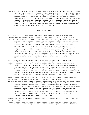See also: All Aboard ABC; Arctic Memories; Becoming Gershona; Big Book for Peace; Chain of Fire; Eleanor, Elizabeth; Families; Hand Full of Stars; Home Place; House on Walenska Street; In the Eye of War; Kate Shelley and the Midnight Express; Middle of Somewhere; Mississippi Bridge; My Prairie Christmas; Other Bells for Us to Ring; Rice Without Rain; Riverkeeper; Road to Memphis; Scarecrow; Shepherd Boy; Shining Company; Sky Is Falling; Sugaring Season; Thank You, Dr. Martin Luther King, Jr.!; Totem Pole; Two Short and One Long; Where Angels Glide at Dawn; and the sections on Biography and Autobiography; Folklore, Mythology and Traditional Literature.

### **THE NATURAL WORLD**

Arnold, Caroline. DINOSAURS DOWN UNDER; AND OTHER FOSSILS FROM AUSTRALIA. Photographs by Richard Hewett. Clarion. 48 pages. (0-89919-814-7) \$14.95 The fossilized bones, or plaster casts of bones, for more than sixty vertebrates indigenous to prehistoric Australia were recently displayed at the Natural History Museum in Los Angeles. The exhibit, called Kadimakara (derived from an aborigine legend), featured fish, amphibians, reptiles, birds and mammals. Arnold provides fascinating details of the museum staff's preparations prior to the exhibit opening, from building platforms and display panels, to laboriously checking in each piece unpacked, to assembling the plaster casts used for display. Intriguing photographs of the fossils exhibited, and the captivated children and adults viewing them, accompanied by clear descriptions of how the living creatures would have appeared and behaved, bring extinct animals to life. (Ages 7-10)

Bash, Barbara. URBAN ROOSTS; WHERE BIRDS NEST IN THE CITY. Sierra Club Books/Little, Brown. 32 pages. (0-316-08306-2) \$14.95

Pigeons, sparrows, finches, barn owls, nighthawks, killdeers, barn swallows, crows, starlings and peregrine falcons are among the species discussed in this look at birds which have successfully adapted to urban environments. The text is direct and informative, but the imaginative and well designed illustrations steal the show. A house finch perched in its nest crowning a statue, and a house wren nested in a work glove hanging on a clothesline are only a few of the many original scenes depicted. (Ages 7-10)

Cole, Joanna. THE MAGIC SCHOOL BUS LOST IN THE SOLAR SYSTEM. Illustrated by Bruce Degen. Scholastic/Hardcover. 40 pages. (0-590-41428-3) \$13.95 An amazing school field trip involves a first hand look at the Sun and each planet

of our solar system after the school bus driven by the inimitable Ms. Frizzle becomes a space ship. Janet, a visitor this day, adds a humorously competitive outside view on all matters to the classroom of racially diverse children. Readers can enjoy the classmates' repartee while finding out information in a cartoon format. Fantasy and fact are distinct and separate, just as they are in other books in the Scholastic series: MAGIC SCHOOL BUS AT THE WATERWORKS  $(1986; )$  ... INSIDE THE EARTH  $(1987);$  and ...INSIDE THE HUMAN BODY (1989). (Ages 7-10)

Dorros, Arthur. RAIN FOREST SECRETS. Scholastic/Hardcover. 32 pages. (0-590- 43369-5) \$13.95 Colorful watercolor sketches and text illustrate the immense diversity of plant and animal life indigenous to the rain forest. Species and conditions of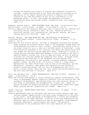lowland and montane rain forests in tropical and temperate climates are included. Simple descriptions of the flora and fauna are followed by an explanation of the rapid, devastating effects of massive rain forest clearing on the land and animals as well as its contribution to the greenhouse effect. A chart lists names and addresses of sixteen organizations which can provide further information about rain forests. (Ages 7-10)

Esbensen, Barbara Juster. GREAT NORTHERN DIVER; THE LOON. Illustrated by Mary Barrett Brown. Little, Brown. 32 pages. (0-316-24954-8) \$14.95 Striking composition and carefully detailed, clear illustrations are combined with

intriguing factual information about the loon. Migration patterns, historical records, call interpretation, and mating, nesting, and chickrearing habits are discussed. (Ages 7-10)

Facklam, Margery. AND THEN THERE WAS ONE; THE MYSTERIES OF EXTINCTION. Illustrated by Pamela Johnson. Sierra Club/Little, Brown. 56 pages. (0-316- 25984-5) \$14.95

Discovered by 16th century sailors, the news of Galapagos tortoises soon brought ships crossing the southern Pacific Ocean to the Galapagos Islands where the crews gathered tortoises for their journey. Tortoises were stored alive in the ships' holds for up to a year as a valuable source of fresh meat. Along with harvesting thousands of the creatures, the ships left behind black rats that sought out and ate tortoise eggs and infants. Eventually a colony of island settlers provided additional dangers to the tortoises in the form of imported domestic animals that also ate eggs and young, as well as grazing on plants the tortoises needed and trampling their nests. Although recent intervention has saved most of the Galapagos tortoise species from disappearing, extinctions of many species, including mammoths, passenger pigeons, bisons, and dodo birds, are directly linked to a human cause. Explanations for other extinctions, such as that of the dinosaurs, provoke speculation. Currently, many people and organizations are working to preserve threatened animals, but the rate of disappearance due to oil spills, nuclear wastes, pesticide use, rain forest and wetland destructions, and acid rain continues to escalate. (Ages 8-11)

Goor, Ron and Nancy Goor. INSECT METAMORPHOSIS; FROM EGG TO ADULT. Atheneum. 26 pages. (0-689-31445-0) \$13.95

Sharp and colorful photographs of insects exhibiting complete metamorphosis (each level of development appears completely different from the previous one) and incomplete metamorphosis (egg-hatched young look like miniature adults) at each stage of development are accompanied by a simple text. Among the species included are monarch butterflies, cecropia moths, mosquitoes, paper wasps, praying mantids, dragonflies and cicadas. (Ages 8-11)

Lauber, Patricia. SEEING EARTH FROM SPACE. Orchard Books. 80 pages. (0-531- 05902-2) \$19.95

Dramatic photographs taken by astronauts and satellite remote sensing radar and infrared Landsat images provide a striking visual perspective of the earth as one planet. Each photograph is accompanied by a concise and thoughtful explanation of the image depicted. A portion of the book demonstrates how different types of remote sensing are used by geographers, oceanographers, botanists, geologists, meteorologists and others. The potential consequences of the greenhouse effect and ozone depletion are also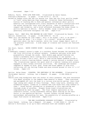discussed. (Ages 7-12)

McNulty, Faith. WITH LOVE FROM KOKO. Illustrated by Annie Cannon. Scholastic/Hardcover. 32 pages. (0-590-42774-1) \$12.95

Raised by humans since she was six months old, Koko was the first gorilla taught to "talk" using American Sign Language. Scientist Penny Pattersons's history of teaching ASL to Koko and general information about gorilla behavior are interspersed with lively anecdotes of Koko's interactions with the author during her visit with the gorilla. Koko is presented with respect and integrity, and a brief afterword discusses the human threat to gorilla habitats in Africa. Softly shaded, large illustrations are generously scattered throughout the text. (Ages 8-10)

Rogers, Paul. WHAT WILL THE WEATHER BE LIKE TODAY? Illustrated by Kazuko. U.S. edition: Greenwillow. 32 pages. (0-688-08950-X) \$13.95

"What will the weather be like today? / Will it be windy? / Will it be warm? / Will there be snow? / Or a frost? / Or a storm?" Birds and animals speculate about the day's weather, while the visual images depict each of the possible conditions. A wide range of climates and locales are featured. (Ages 3-6)

San Souci, Daniel. NORTH COUNTRY NIGHT. Doubleday. 32 pages. (0-385-41319-X) \$14.95

A seemingly tranquil winter's night in a northern forest becomes the backdrop for the vital activities of several animals. Predators and prey alike move purposefully through the woods. Each double page spread features one animal's movements while linking their relationship to one another: a coyote follows a fox's trail, while a long-tailed weasel paddles across a stream to avoid a hunting bobcat; nearby a raccoon devours a rainbow trout. The illustrations capture the quiet mood of a habitat teeming with animals engaged in their normal nocturnal activities. The landscape and animals composed of shades of blue, gray, brown and black appear to glow with reflections off the falling flakes and snow-covered ground in this 11" x 11" volume. (Ages 4-8)

Sattler, Helen Roney. GIRAFFES, THE SENTINELS OF THE SAVANNAS. Illustrated by Christopher Santoro. Lothrop, Lee & Shepard. 80 pages. (0-688-08284-X) \$14.95

Twelve-inch-long hoofprints warn the author of their presence; she soon encounters five Masai giraffes in the Samburu Game Reserve in Kenya. "They scattered and galumphed off into the bush in a curious slow-motion gallop, their hind legs coming well ahead of their forelegs. Their long tails, swishing like windshield wipers, looked as if someone had tied three-foot-long tassels to them." Sound factual information is presented in this captivating and thorough study of giraffes. Elegant brown-toned illustrations are complemented by warm tan paper. The final chapter speculates on the creature's future, citing nineteenth century sport hunting as the main factor in the population decline. Current threats include habitat encroachment and poaching for meat; the possibility of raising giraffes as a legal food source is mentioned. (Ages 8-12)

..................... THE NEW ILLUSTRATED DINOSAUR DICTIONARY. Illustrated by Joyce Powzyk. Lothrop, Lee & Shepard. 363 pages. (0-688-08462-1) \$24.95 Sattler's dictionary is an up-to-date reference book and readable guide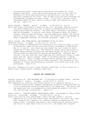incorporating recent archeological discoveries from Argentina, China, Mongolia and Brazil. Fifty new entries bring the total to more than 350 dinosaurs for which name pronunciation and derivation, size and other pertinent information are cited. Over 60 small black and white drawings are interspersed throughout the hefty volume. A full-color, two-part visual chronology opens the book, while a location index and reading list are at the end. (Ages 5-12)

Simon, Seymour. DESERTS. Morrow. 32 pages. (0-688-07415-4) \$13.95 While most people would define a desert as dry, hot, and sandy, deserts actually vary quite dramatically from one to another as demonstrated by the four primary North American deserts: the Great Basin, the Mojave, the Sonoran, and the Chihuahuan. A succinct text offers information about the plants, animals, land and sand formations, rain and temperature ranges, and erosion patterns of these regions. Charts, maps, and stunning color photographs of desert landscapes highlight the features discussed. (Ages 7-10)

Smith, Roland. SEA OTTER RESCUE; THE AFTERMATH OF AN OIL SPILL. Cobblehill/Dutton. 64 pages. (0-525-65-41-5) \$13.95

It's unique method of thermoregulation (blowing air into clean fur where it acts as insulation) makes the sea otter particularly vulnerable to hypothermia due to oil spills. Sea otters may also ingest the toxic crude oil while attempting to clean their fur. The efforts of animal rescue specialists to combat these problems following the 1989 Exxon Valdez oil spill in Prince William Sound are described as rigorous and exhausting. Treatment may include a two-hour wash and rinse requiring four workers per animal, a highpower blow dry, and an internal "wash" of activated charcoal to absorb swallowed oil. After a lengthy recovery period, healthy sea otters still pose a problem: where can they be safely released? The aftermath of this disaster is clearly and deliberately reviewed, illustrated with large color photographs. (Ages 8-12)

See also: Feathers for Lunch; Global Warming; Indian Way; Is This a House for a Hermit Crab?; Weather Watch; Woodsong; Zebra Talk.

# **SEASONS AND CELEBRATIONS**

Branley, Franklyn M. THE CHRISTMAS SKY. Illustrated by Stephen Fieser. Revised edition: Thomas Y. Crowell. 48 pages. (0-690-04770-3) \$14.95

This substantially rewritten and revised edition of an important book by a reliable science writer suggests contemporary scientific interpretations for a Star of Bethlehem during the beginning of the Common Era. The easily read and understood text is accompanied on every spread by dramatic full-color one- and two-page illustrations. (Ages 6-11)

Burns, Diane L. SUGARING SEASON; MAKING MAPLE SYRUP. Photographs by Cheryl Walsh Bellville. Carolrhoda. 48 pages. (0-87614-422-9) \$12.95

Scenic and close-up color photographs, charts and maps augment a ten-part explanation of a late 20th century maple sap harvest: the trees, sap, sugar bush, preparations, tapping, run, cooking, grading, packaging and the season's end. A glossary and author's note concerning the relative health and future of sugar maple trees in the U.S.A. and Canada add a helpful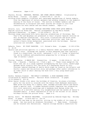dimension. (Ages 6-10)

Chaikin, Miriam. MENORAHS, MEZUZAS, AND OTHER JEWISH SYMBOLS. Illustrated by Erika Weihs. Clarion. 102 pages. (0-89919-856-2) \$14.95 Striking black graphics illustrate well developed explanations of Jewish symbols

from the importance of certain garments and worship elements to the symbolic meaning of the State of Israel. The section on Number Symbols and the documentation in Scripture and other sources are unique to this fine resource for both Jewish and non-Jewish readers. (Ages 6-13)

Delacre, Lulu. LAS NAVIDADES; POPULAR CHRISTMAS SONGS FROM LATIN AMERICA. English lyrics by Elena Paz. Musical arrangements by Ana-Maria Rosado. Scholastic/Hardcover. 32 pages. (0-590-43548-5) \$12.95

Thirteen songs associated with Latin American celebrations of Christmas, New Year's Eve and Epiphany are presented in their original Spanish versions as well as English translations. Full-color illustrations and brief notes accompany each song, depicting traditional activities, most from the author's Puerto Rican background, associated with the holidays. Musical notations are included. (Ages 4-9)

DePaola, Tomie. MY FIRST PASSOVER. G.P. Putnam's Sons. 14 pages. (0-399-21784- 3) \$5.95

Objects and activities specific to a family Passover Seder are named and pictured in full color. Although the content is more advanced than that typically found in a board book, the stiff, laminated  $7 \frac{1}{2}$ " x  $7$ " format is practical for use by toddlers and preschoolers preparing for or being at a Seder. (Age 18 months-3 years)

Florian, Douglas. A BEACH DAY. Greenwillow. 32 pages. (0-688-09104-0) \$12.95 "Car ride. / Seaside. / Parking lot / Find a spot..." These lines exemplify the brief text set in a large typeface accompanying the full-color, double-page spreads which visually tell the story of a beachside Fourth of July. Fourteen labeled drawings of shells which might be found on the Atlantic and Pacific coasts end the picture story and perhaps offer useful information to an older child or adult sharing the book with a very young beach-goer. (Ages 2-4)

Goldin, Barbara Diamond. THE WORLD'S BIRTHDAY; A ROSH HASHANAH STORY. Illustrated by Jeanette Winter. Harcourt Brace Jovanovich. 32 pages. (0-15-299648-6) \$13.95

After Daniel thinks a bit about the birthday of Creation, he plans a birthday party for the world to coincide with the family Rosh Hashanah observance. Mama gives him money for a bakery cake, Grandpa provides advice and Daniel draws a special card. A sudden backyard breeze completes the celebration. Full-color watercolor paintings and a handsome book design evoke the security of a mid-20th century city neighborhood and the warmth of Daniel's extended family. A short explanation of one of the holiest of all Jewish holidays follows the picture story. (Ages 4-6)

Harvey, Brett. MY PRAIRIE CHRISTMAS. Illustrated by Deborah Kogan Ray. Holiday House. 32 pages. (0-8234-0827-2) \$14.95

"...I loved our new home on the prairie, sitting in the middle of its ocean of grass. But how would we celebrate Christmas?..." Mama knows. Cornhusks are be twisted into decorations. Popcorn strings become a substitute for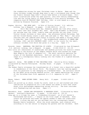the cranberries strung for past Christmas trees in Maine. Mama and the three children trudge through deep snow to get a cottonwood even though they are frantic because Papa didn't return home before a blizzard began. Fullcolor illustrations evoke the open prairie, late-19th century homesteading life and the loving family of young Eleanore's first prairie December. The companion book MY PRAIRIE YEAR (Holiday, 1986) is also based on a diary written by Eleanore Plaisted. (Ages 4-8)

Hughes, Shirley. THE SNOW LADY. (A Tale of Trotter Street) U.S. edition: Lothrop, Lee & Shepard. 24 pages. (0-688-09874-6) \$13.95

 Until Mum returns each day, Samantha spends the time after school with their next door neighbor Mrs. Dean. Sam's dog Micawber is definitely not welcome near the clean, orderly home and neither are any other lively Trotter Street children or their pets. One afternoon before Christmas, Sam and her friend Barney create a snow lady and name it "Mrs. Mean." Sam later realizes that the labeled snow figure is hurtful and makes a valiant effort to keep Mrs. Dean from seeing it. The neighborhood community of ANGEL MAE (Lothrop, 1989) and BIG CONCRETE LORRY (1990) is the locale for the small, ordinary incident from which Sam grows in a big way. (Ages 3-7)

Koralek, Jenny. HANUKKAH; THE FESTIVAL OF LIGHTS. Illustrated by Juan Wijngaard. U.S. edition: Lothrop, Lee & Shepard. 32 pages. (0-688-09329-9) \$13.95 Full-color art reminiscent of candlelight and shadows pictures the historic events leading to the miracle of the Temple candles which once burned for eight days despite the lack of adequate oil. The short narrative explains the origin of the Hanukkah observance. Both art and text conclude with the image of a contemporary family looking into the flames of a lighted menorah. (Ages 4-7)

Lagerlof, Selma. THE LEGEND OF THE CHRISTMAS ROSE. Retold by Ellin Greene. Illustrated by Charles Mikolaycak. Holiday House. 32 pages. (0-8234-0821-3) \$15.95 The Robber Family witnesses the transformation of a forest into a beautiful garden in remembrance of the Christ Child. The dramatic tale has lasting appeal with its parallels to the changing of a hardened heart. As initially retold by the Nobel prize-winning Swedish writer, the legend explaining the origin of the Christmas Rose first appeared in a U.S. magazine in 1907. (Ages 9-

12)

Maass, Robert. WHEN AUTUMN COMES. Henry Holt. 32 pages. (0-8050-1259-1) \$15.95

Boats are pulled up on shore, birds fly south, wood is cut and stacked and other indications of preparation for a new season are shown in more than three dozen color photographs emphasizing autumn activity. The book concludes with Thanksgiving and new snow. (Ages 3-7)

Manushkin, Fran. LATKES AND APPLESAUCE; A HANUKKAH STORY. Illustrated by Robin Spowart. Scholastic/Hardcover. 32 pages. (0-590-42261-8) \$12.95 Long ago in a village far away, a "tremendous blizzard - as if all heaven's featherbeds had burst!..." begins on the first night of Hanukkah. Snow covers the potatoes and hides the apples needed to make the traditional foods. A stray dog and cat are welcomed into the increasingly hungry Menashe family household. After the storm subsides, each creature acts according to its own nature in helping the parents and two children. Each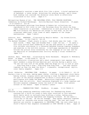subsequently receives a name which fits like a glove. A brief explanation of Hanukkah, a latke recipe, directions for playing dreidel, and a threebook reading list conclude the whimsical story which is effectively illustrated in full color. (Ages 4-7)

Metropolitan Museum of Art. THE CHRISTMAS STORY; TOLD THROUGH PAINTINGS. Commentary by Richard Muhlberger. Gulliver/Harcourt Brace Jovanovich. 39 pages.  $(0-15-200426-2)$  \$16.95

Nineteen Renaissance paintings from Museum of Modern Art collections are reproduced in full color to tell the Christmas Story for which the King James translation is provided. Commentaries on each painting by the former MMA Vice Director for Education are unique to this book, as are the occasional additional close views of small segments of the larger masterpieces. (Ages 7-adult)

Schotter, Roni. HANUKKAH! Illustrated by Marylin Hafner. Joy Street/Little, Brown. 32 pages. (0-316-77466-9) \$13.95

"In darkest December / Night steals in early / And whisks away the light. / But warm inside, / Mama, Papa and Grandma Rose / Light the sun..." So opens a full-color picture book rendering of the way each person in a family with five children contributes to a contented Hanukkah evening together somewhere and sometime in the mid-20th century. A half-page explanation of Hanukkah follows the picture story noteworthy for the language of its text and for the depiction of intergenerational activity during a ritual celebration. (Ages 2-5)

Serfozo, Mary. RAIN TALK. Illustrated by Keiko Narahashi. Margaret K. McElderry Books. 24 pages. (0-689-50496-9) \$12.95

Full-color watercolor illustrations and a short onomatopoeic text express the small wonders a young African-American girl notices during a gentle rain. "On the old tine roof of the garden shed the drops all try to talk at once ... Ping Ping Ping a Ding / Ping Ping Ping Ping Ping ... and they chuckle together as they run down the drain." A peaceful, uncomplicated, idyllic, rural family snapshot. (Ages 2-6)

Stock, Catherine. CHRISTMAS TIME. Bradbury. 24 pages. (0-02-788403-1) \$11.95 Buying a tree in the snow, making paper chains, visiting a department store Santa, baking cookies, singing carols and leaving a treat for Santa's reindeer are all part of the secular preparations in which a little white girl participates with Daddy and Mommy. Watercolors highlighted by colored pencil show the activity. Short sentences displayed in a large typeface and delicate seasonal endpapers convey the mood of the happy, first-person account of the season. (Ages 18 months-3 years)

...............THANKSGIVING TREAT. Bradbury. 24 pages. (0-02-788402-3) \$11.95

Everyone is busy preparing something traditional for Thanksgiving dinner everyone but a child too young to help other relatives in this extended white family which is variously busy stuffing a turkey, baking pies, shucking corn, peeling vegetables and chopping firewood. No one wants a little boy in the way. No one but Grandpa. They gather chestnuts together and later on, everyone else enjoys roasting them! The text and visual material are similar in appearance to CHRISTMAS TIME, the only other book in Stock's Festive Year sequence recommended in CCBC CHOICES to date. (Ages 18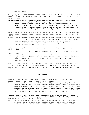months-3 years)

Tornqvist, Rita. THE CHRISTMAS CARP. Illustrated by Marit Tornqvist. Translated from the Swedish by Greta Kilburn. U.S. edition: R & S Books. 32 pages. (91-29- 59784-6) \$13.95 In Czechoslovakia, a traditional Christmas repast includes carp. After young Thomas names and plays with the large carp he buys at the market, he can no longer imagine relinquishing his new pet for the dinner Grandpa is preparing. The story is wonderfully illustrated with full-color, detailed watercolors of the Prague market, the Moldau River, streets and courtyards and the interior of Grandpa's apartment. (Ages 5-8) Waters, Kate and Madeline Slovenz-Low. LION DANCER; ERNIE WAN'S CHINESE NEW YEAR. Illustrated by Martha Cooper. Scholastic Hardcover. 32 pages. (0-590-4306-7) \$12.95 Clear color photographs illustrate a short photo-essay focusing on two days in the life of a young Chinese-American boy living in New York City. Readers see Ernie Wan preparing for his role as a lion dancer in a New Year's celebration in Chinatown. Both family and community celebrations of the Chinese New Year are detailed. (Ages 4-11)

Zalben, Jane Breskin. HAPPY PASSOVER, ROSIE. Henry Holt. 24 pages. (0-8050- 1221-4) \$13.95 ..................... LEO & BLOSSOM'S SUKKAH. Henry Holt. 24 pages. (0-8050- 1226-5) \$13.95 Detailed full-color illustrations picture a bear family's Passover and Sukkot

preparations and observances. The same characters appear here as in BENI'S FIRST CHANUKAH (Holt, 1988), but each wee book features a different character. (Ages 3-5)

See also: Christmas Carol; Do Like Kyla; Esmeralda and the Pet Parade; Family Pictures; Gone Fishing; Indian Way; Legend of Sleepy Hollow; Let's Go Fishing!; North Country Night; Other Bells for Us to Ring; Snow Toward Evening; Totem Pole; Under Your Feet

# **ACTIVITIES**

Breslow, Susan and Sally Blakemore. I REALLY WANT A DOG. Illustrated by True Kelley. Dutton. 40 pages. (0-525-44589-7) \$12.95

A breezy summary of the reasons children typically want to get a dog (best friend, never be lonely, etc.) and the responses parents then perennially make about continuing responsibility for the pet (who will feed, walk, train, etc.) are expressed in an engaging way. The picture book format may appeal to readers unwilling to pay attention to similar information in a conventional "how to decide whether or not to get a dog" article or book. (Ages 4-6)

Cassedy, Sylvia. IN YOUR OWN WORDS; A BEGINNER'S GUIDE TO WRITING. Revised edition: Thomas Y. Crowell. 219 pages. (0-690-04821-1) \$13.95 (Paperback with perfect binding: 0-06-446102-5) \$7.95

After suggesting ways to "take notice" and commenting on using the five senses, the author suggests methods for writing in different forms: myths, tall tales, ghost stories, science fiction, editorials, school reports and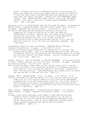poetry. A helpful revision of a substantial guide to writing prose and poetry was created by a writer who taught creative writing to children for 14 years and whose highly acclaimed published works demonstrate that she knows about her subject firsthand. Cassedy wrote LUCIE BABBIDGE'S HOUSE (Crowell, 1989), BEHIND THE ATTIC WALL (Crowell, 1983), M.E. AND MORTON (Crowell, 1987) and a collection of original poetry ROOMRIMES (Crowell, 1989). (Age 9 and older)

Earthworks Group. 50 SIMPLE THINGS KIDS CAN DO TO SAVE THE EARTH. Illustrated by Michele Montez. Andrews and McMeel (4900 Main Street, Kansas City, MO 64112). 156 pages. Paperback with perfect binding. (0-8362-2301-2) \$6.95 An easy-to-read guide provides background information and practical suggestions for things children can do in their own homes and neighborhoods to recycle, conserve water and energy, protect animals and keep the earth green. Many of the entries include addresses of organizations readers can write to for further information. Instructions for how to make recycled paper and how to be a junk food detective constitute two of the seven eco-experiments appended. (Age 7 and older)

Grosshandler, Henry and Janet Grosshandler. EVERYONE WINS AT TEE BALL. Cobblehill Books/Dutton. 32 pages. (0-525-65016-4) \$12.95 A brief first-person narrative describes the experiences of a tee ball team

during a typical game. Clear color photographs show active boys and girls as teammates, while the child-centered text acknowledges aspects of the game that are most difficult for young children: hitting, catching and waiting for a turn at bat. (Ages 5-8)

Schmidt, Gerald D. LET'S GO FISHING! A BOOK FOR BEGINNERS. Illustrated by Brian W. Payne. Roberts Rinehart (P.O. Box 666, Niwot, CO 80544). 85 pages. Paperback with perfect binding. (0-911797-84-X) \$10.95

Basic information about common kinds of fish, fishing tackle, bait, lures and flies is provided in this accessible introduction to freshwater fishing in North American. Also included are chapters on ice fishing, "reading the water" and fishing ethics. Captioned diagrams show readers how to tie knots and rigs and how to clean and cook fish. (Age 8-14)

Solomon, Chuck. PLAYING HOCKEY. Crown. 40 pages. (0-517-57414-4) \$9.95 Informal ice hockey on a shoveled section of a rural lake and team practice and competition at a city rink are shown in 74 full-color action photographs accompanied by a very brief first-person narrative. One of the coaches is Black and some of the boys on the predominantly white teams have diverse racial backgrounds. An inviting overview of this winter activity for future players or spectators. (Ages 4-9)

Wyatt, Valerie. WEATHER WATCH. Illustrated by Pat Cupples. U.S. edition: Addison-Wesley. 95 pages. Paperback with perfect binding. (0-201-15404-8) \$8.95

A highly visual guide encourages young readers to make observations about different kinds of weather by giving them pointers for the sorts of things they can look for outside and by suggesting experiments they can do indoors and out. Most of the 22 experiments included require common household implements and could be done by children independently. (Ages 8-11)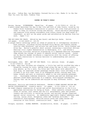See also: Indian Way; Las Navidades; Pretend You're a Cat; Shake It to the One That You Love the Best; Toddler Time

# **ISSUES IN TODAY'S WORLD**

Ancona, George. RIVERKEEPER. Macmillan. 48 pages. (0-02-700911-4) \$13.95 A photo-essay describes the day-to-day life and work of John Cronin, hired by the Hudson River Fishermen's Association to protect the river from polluters in order to keep its wildlife strong and healthy. Black-and-white photographs and numerous first-person statements from Cronin convey his deep sense of commitment, as well as the great pride and satisfaction he derives from his work. (Ages 7-11)

THE BIG BOOK FOR PEACE. Edited by Ann Durell and Marilyn Sachs. Dutton. 120 pages. (0-525-44605-2) \$15.95

A unique family anthology offers an album of pieces by 31 contemporary children's book creators, including writers Mildred Pitts Walter and Yoshiko Uchida; reteller John Bierhorst; and artists Leo and Diane Dillon, Jerry Pinkney and Allen Say. Walter's powerful short account concerning a nonviolent African-American civil rights demonstration in Washington, D.C., and Uchida's epistolary fictional narrative originating in a Japanese-American internment camp extend the concept of peace to embrace social justice issues. Jacket art by Maurice Sendak introduces a compilation with the intent of offering alternate resolutions to various barriers to understanding and justice. (All ages)

Burningham, John. HEY! GET OFF OUR TRAIN. U.S. edition: Crown. 48 pages. (0-517-57638-4) \$14.95

- At night, when most children are sleeping, a little boy and his stuffed dog take a dreamlike journey by train, making stops along the way to have a picnic, play ghosts, go for a swim, fly kites and "muck about with umbrellas." At each stop, an unwelcome animal passenger boards their train and begs to be allowed to go with them: each is an endangered animal running away from human threats and each is eventually added to the ever-growing passenger list. Burningham combines whimsical, scratchy pen-and-ink drawings with abstract mixed media paintings in a complex, multilayered contemporary fantasy that can be understood and enjoyed on many different levels. (Ages 3-7)
- McKissack, Patricia and Fredrick McKissack. TAKING A STAND AGAINST RACISM AND RACIAL DISCRIMINATION. Franklin Watts. 157 pages. (0-531-10924-0) \$13.40 An eight-chapter examination of racism and racial discrimination in the U.S.A. approaches motivations for doing so first. Other subjects covered include forms of racism; race issues and the U.S. governments; past and present leaders and activists in resisting racism; and national groups organized against racial injustice. An immediately applicable chapter addresses name calling, racial slurs, derogatory jokes and "problem attitudes." The substantial bibliography, detailed source notes and index extend the resources of this direct, constructive book. (Ages 11-14)

Pringle, Laurence. GLOBAL WARMING. Arcade/Little, Brown. 46 pages. (1-55970-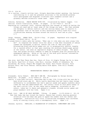012-2) \$14.95 In a concise, clearly written text, Pringle describes global warming, the factors contributing to it and the possible solutions to the worldwide problem. Color photographs and diagrams illustrate this readable account and a glossary defines scientific terms used. (Ages 7-10)

Scholes, Katherine. PEACE BEGINS WITH YOU. Illustrated by Robert Ingpen. U.S. edition: Sierra Club/Little, Brown. 40 pages. (0-316-77436-7) \$10.95 Beginning on a personal level, Scholes explains the concept of peace as having the things you need and at least some of the things you want. She then extends the metaphor to define conflict and the various means used to resolve it. The personal tone of the book is well balanced by softly hued full-color

illustrations showing children around the world at work and at play. (Ages 4-7)

Vargo, Vanessa. ZEBRA TALK. Child's Play. 20 pages. Paperback with stapled binding. (0-85953-395-6) \$3.95

A young Grevy's zebra asks her mother, "What was it like when you were young like me?" In response her mother tells her about a time when thousands of zebras roamed the savannahs in Africa, before the time of "men with guns." Alternating black-and-white pages are cut to progressively shorter lengths for a layered effect so that upon reaching the wordless double-page spread at the center, one sees an impressive display of zebra stripes. The spare text and unique artistry combine to make an eloquent plea for protecting an endangered species. Notes at the end of the book give factual information about the four zebra species. (Ages 3-6)

See also: And Then There Was One; Chain of Fire; 50 Simple Things Can Do to Save the Earth; Hand Full of Stars; John Muir; Journey; Middle of Somewhere; My Hiroshima; My Place; People Who Hugged the Trees; Rain Forest Secrets; Rice Without Rain; Sea Otter Rescue; Seeing Earth From Space; Tree Still Stands; Woodsong

### UNDERSTANDING ONESELF AND OTHERS

Alexander, Sally Hobart. MOM CAN'T SEE ME. Photographs by George Ancona. Macmillan. 48 pages. (0-02-700401-5) \$14.95

- Leslie, a nine-year-old girl, describes day-to-day life living with her mom who's been blind since age 26. While Leslie describes how her family does things differently to accommodate her mom's special needs and speaks candidly about times her mom has embarrassed her, the overall focus of this photo-essay is her mom's active life, as she takes Leslie shopping, volunteers at her school, takes her to dance and gymnastic classes, attends soccer games and plays baseball with her kids. (Ages 6-11)
- Boyd, Lizi. SAM IS MY HALF BROTHER. Viking. 32 pages. (0-670-83046-1) \$11.95 Now that baby Sam has joined the family, Hessie has trouble sharing parental attention with him when she goes to spend the summer with her father and stepmother. Distinctive full-color illustrations accompany this universal story of sibling rivalry with a contemporary twist. (Ages 3-6)

Jenness, Aylette. FAMILIES; A CELEBRATION OF DIVERSITY, COMMITMENT AND LOVE.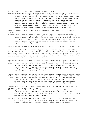Houghton Mifflin. 48 pages. (0-395-47038-2) \$13.95 Seventeen young people each briefly comment upon the composition of their families in a photo-essay which originated as an interactive exhibition at the Children's Museum in Boston. One strength of this unique book rests in its organizational pattern, in that no one type of family unit is presented as standard, or correct, or "other." Blended, adoptive, mixed-racial, biracial, two parent, one parent, gay and lesbian, collective and extended families from diverse racial, ethnic and economic backgrounds are pictured. Child-expressed definitions of "family" and a list of books for further reading are additional features of an important book. (Ages 5-12)

Koehler, Phoebe. THE DAY WE MET YOU. Bradbury. 40 pages. (0-02-750901-X) \$12.95

A mother and father describe the flurry of activity that occurred in their household on the day they got a phone call from an adoption agency. "We bought diapers / and pajamas / and shirts and little socks / so you would be dry and warm." Pastel crayon illustrations and a few words per page set in a large typeface communicate the love and excitement experienced in an adoptive family. (Ages 1-3)

Kuklin, Susan. GOING TO MY NURSERY SCHOOL. Bradbury. 32 pages. (0-02-751237-1) \$12.95

 Four-year-old Heath describes a typical day at his nursery school from the time his dad drops him off in the morning till the time he picks him up again in the afternoon. Color photographs and a first-person text document Heath's activities. A helpful three-page note to parents at the book's end tells what one should look for when choosing a nursery school. (Ages 3-4)

Oppenheim, Shulamith Levey. WAITING FOR NOAH. Illustrated by Lillian Hoban. A Charlotte Zolotow Book/Harper & Row. 32 pages. (0-06-024633-2) \$12.89 Noah persuades his grandma to tell him his favorite story -- her account of what she did and what she thought about on the day Noah was born. Rich pastel illustrations show Noah and his grandma baking cookies, riding bicycles, reading a story, all the things grandma looked forward to doing with newborn Noah when he was old enough. (Ages 2-4)

Turner, Ann. THROUGH MOON AND STARS AND NIGHT SKIES. Illustrated by James Graham Hale. A Charlotte Zolotow Book/Harper & Row. 32 pages. (0-06-026189-7) \$12.95 A little boy from an Asian country who was sent to the U.S. to be adopted by a white couple tells, in his own words, what he remembers about his journey and the first day and night in his new home. A poetic text and delicate watercolor illustrations give the story a tender tone. (Ages 3-5)

Valens, Amy. JESSE'S DAYCARE. Illustrated by Richard Brown. Houghton Mifflin. 32 pages. (0-395-53357-0) \$13.95

- There's plenty for Jesse to do each day when his mom drops him off at Sara's house on her way to work. An upbeat text and full-color illustrations show Jesse's typical activities in home daycare while smaller inset pictures show what his mom is doing at work. (Ages 2-4)
- See also: Bright Eyes, Brown Skin; Jodie's Journey; Julius, the Baby of the World; My Place; Peace Begins with You; Taking a Stand Against Racism and Racial Discrimination; Teammates; Toddler Time; Tree Still Stands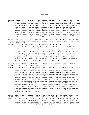#### **THE ARTS**

Edwards, Michelle. DORA'S BOOK. Carolrhoda. 32 pages. (0-87614-441-3) \$12.95 Directions for creating and producing by hand a small edition of an original book are interwoven into the story of an elder-aged woman from northern Minnesota who creates a book about her family history for members of the family and close friends. Like the main character Dora, author/artist Edwards has written, illustrated, printed, typeset and bound her own books. The Minnesota Center for Book Arts contributed expertise to this book about the steps involved in the satisfying process of making a book by hand. The book jacket underscores the truism to avoid judging a book by its cover; although the jacket art has little child appeal, the content does. (Ages 9-12)

Gregory, Cynthia. CYNTHIA GREGORY DANCES SWAN LAKE. Photographs by Martha Swope. (A Time of My Life Book) Simon and Schuster Books for Young Readers. 48 pages.  $(0-671-68786-7)$  \$14.95

Readers literally peer backstage and beyond during one day of a working ballerina's career. In full-color photographs and Gregory's words they glimpse Cynthia Gregory participating in a morning ballet class; meeting the wardrobe mistress for a final costume fitting; giving a telephone interview to a dance critic; rehearsing for the evening performance; taking advantage of opportunities to be home with her family; getting ready to go onstage; and celebrating the new American Ballet Theatre performance of "Swan Lake." Gregory's commentary brings readers down-to-earth elements of ballet dancers typically seen by audiences as "... perfect creatures who seem to float and fly with no effort at all ..." (Ages 5-11)

Hoyt-Goldsmith, Diane. TOTEM POLE. Photographs by Lawrence Migdale. Holiday House. 32 pages. (0-8234-0809-4) \$14.95

David is a Tsimshian boy whose pride in his father's artistry as a wood-carver and creator of a new totem pole provides the focus for a  $10" x 10"$  first-person narrative. The history and culture of David's paternal elders, the Eagle Clan from Metlakatla on Alaska's Annette Island, are described and shown in full-color photographs, as is a brief background of the Klallam Indians of the Northwest Coast. Written and visual explanations detail the steps David's father takes to find a straight, tall cedar tree and carve the Klallam Thunderbird, Raven, Whale, Bear and other symbolic images into its trunk. The community's involvement in raising and celebrating the pole's placement on the Klallam Reservation is also pictured. David's maternal ancestors emigrated to the U.S.A. from Europe generations ago. The boy's Tsimshian heritage and Eagle Clan membership are interpreted in several ways, including the one-page retelling of the "Legend of the Eagle and the Young Child." A glossary concludes this unusual and absorbing photo documentary account. (Ages 5-10)

Lomas Garza, Carmen. FAMILY PICTURES/CUADROS DE FAMILIA. Children's Book Press (1339 61st St. Emeryville, CA 94608). 32 pages. (0-89239-050-6) \$12.95 Brilliantly colored oil, acrylic and gouache paintings illustrate scenes from the Chicana artist's childhood in Kingsville, Texas. Details from traditional Hispanic family and community life abound in the naive-style illustrations, as well as in the accompanying explanatory passages printed in both English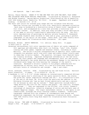and Spanish. (Age 7 and older)

Mattox, Cheryl Warren. SHAKE IT TO THE ONE THAT YOU LOVE THE BEST; PLAY SONGS AND LULLABIES FROM BLACK MUSICAL TRADITIONS. Illustrated by Varnette P. Honeywood and Brenda Joysmith. Warren-Mattox Productions (Distributed by JTG of Nashville, 102C 18th Avenue South, Nashville, TN 37212). 54 pages. Paperback with stapled binding. (0-9623381-0-9) \$7.95

The music and lyrics for sixteen play songs and ten lullabies from African-American culture are included in this rich, beautifully designed collection. Each song is bordered by a distinctive strip of Kente cloth, reproduced in full color, and accompanied by a note that provides a historical and cultural context. In addition, each play song includes a brief description of the game or activity traditionally associated with the song. Ten fullcolor reproductions of paintings by gallery artists Varnette P. Honeywood and Brenda Joysmith show children at home and at play, providing a perfect complement to the spirit of the songs. Honor Book, 1990 CCBC Coretta Scott King Book Award for Illustration Book Discussion. (All ages)

Ekoomiak, Normee. ARCTIC MEMORIES. U.S. edition: Henry Holt. 32 pages. (0-8050-1254-0) \$15.95

Seventeen extraordinary full-color reproductions of fabric art works composed of felt applique and embroidery show Inuit ice fishing, "iglu" life, blanket tossing and other games, legends and seasonal events, including an Inuit Nativity. The artist's written interpretations of specific Inuit traditions integrate his personal world view with times and events almost totally past in James Bay in Arctic Quebec. The parallel, bilingual Inuit-English texts are visually striking. Important background information at the end tells about the Inuit people and language and contemporary Inuit art and artists. Normee Ekoomiak's own words describe how permanent damage to his hearing in childhood never keeps him from hearing the language of the earth's creatures. Ekoomiak's artistic tribute to his people combined with his expressions of natural unity result in a one-of-a-kind book offering multiple levels of information and insight. (Age 5 and older)

Price, Leontyne, reteller. AIDA. Illustrated by Leo and Diane Dillon. Harcourt Brace Jovanovich. 32 pages. (0-15-200405-X) \$16.95

A handsome 11 1/4" x 10 1/4" volume combines an internationally respected African-American opera star's retelling of the opera narrative which, she states, has given her "great inspiration onstage and off." In a storyteller's note at the end of the book, Ms. Price cites the qualities she admires in the Ethiopian Princess who "was my best friend operatically and was a natural for me because my skin was my costume." These qualities include Aida's "deep devotion and love for her country and people - her nobility, strength and courage..." They are expressed in the Dillons' rich colors, dramatic costumings of characters, inventive stagings of action and multiple uses of ancient Egyptian images. The tragic enslavement central to the opera is not romanticized, although the story contains romantic elements. Traditional typography combined with the elegance of contemporary book design and production complement the Dillons' contemporary illustrative style. Winner, 1990 CCBC Coretta Scott King Book Award for Illustration Book Discussion. (Ages 7-14)

Sibley, Brian. THE LAND OF NARNIA. Illustrated by Pauline Baynes. U.S. edition: Harper & Row. 96 pages. (0-06-025625-7) \$19.89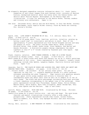- An elegantly designed compendium contains information about C.S. (Jack) Lewis; summaries of and visual images from each fantasy novel; accounts of Narnian history; background material about how Lewis wrote the famous books; and details about Pauline Baynes' development of the Narnia maps and illustrations. A treat for devotees of the Narnia Books, fantasy readers and literary arts enthusiasts. (Ages 11-14)
- See also: Christmas Story; Hattie and the Wild Waves; In Your Own Words; Journey; Las Navidades; Laura Ingalls Wilder Country; Place My Words Are Looking For; Sorrow's Kitchen

#### **POETRY**

Agard, John. LIFE DOESN'T FRIGHTEN ME AT ALL. U.S. edition: Henry Holt. 96 pages. (0-8050-1237-0) \$14.95

A collection of 85 poems about "love, families, politics, injustice, growing up, having a good time" is iconoclastic and mature in mood. Most of the approximately 75 poets represented are from United Kingdom nations and many are people of color. The poets include James Berry, Nikki Giovanni, Miroslav Holub, June Jordan, Audre Lorde, Zinzi Mandela, Bob Marley and Kazuko Shiraishi. A distinctive graphic design complements the small typeface in this 8" x 5" volume created by Guyanese poet John Agard. (Age 14 and older)

Frank, Josette, selector. SNOW TOWARD EVENING; A YEAR IN A RIVER VALLEY. Illustrated by Thomas Locker. Dial. 32 pages. (0-8037-0810-6) \$15.89 Short poems by 13 poets evoke each month and January 1st as do 13 scenic paintings reproduced in full color. Poets represented in the thematic, largely visual anthology include John Updike, Langston Hughes, Charlotte Zolotow and Rachel Field. (Ages 7-10)

Janeczko, Paul B. THE PLACE MY WORDS ARE LOOKING FOR; WHAT POETS SAY ABOUT AND THROUGH THEIR WORK. Bradbury. 150 pages. (0-02-747671-5) \$13.95 "...Collect words!...Be yourself. Do not imitate other poets. You are as

important as they are...", counsels Gwendolyn Brooks in a short personal statement preceding her poem "Computer". Page layouts with generous amounts of open space invite young readers and writers to discover what 39 contemporary poets say about their work as well as to sample on or two of their poems. The black and white photograph introducing each poet provides a visual immediacy corresponding to the upbeat tone of the anthology. Other poets represented include Paul Fleischman, Russell Hoban, Felice Holman, Maxine Kumin, Karla Kuskin, Myra Cohn Livingston, Naomi Shihab Nye, Gary Soto, John Updike and Ron Wallace. (Age 10 and older)

Larrick, Nancy, compiler. MICE ARE NICE. Illustrated by Ed Young. Philomel. 48 pages. (0-399-21495-X) \$15.95

Twenty-five poems by 19 poets involve mice - and cats and dogs! The warm brown charcoal and pastel illustrations literally offer a wide range of perspectives. Poets represented include John Ciardi, Aileen Fisher, Patricia Hubbell, A.A. Milne, Lucy Sprague Mitchell and Jack Prelutsky. (Ages 5-10)

Philip, Neil, selector. A NEW TREASURY OF POETRY. Illustrated by John Lawrence.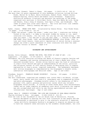U.S. edition: Stewart, Tabori & Chang. 256 pages. (1-55670-145-4) \$25.00 The more than 130 poets represented in this handsome collection include William Blake, Walter De la Mare, Emily Dickinson, Robert Frost, Robert Graves, Rudyard Kipling, Stevie Smith and Robert Louis Stevenson. Graphically distinctive woodcuts illustrate and decorate the anthology of 288 poems organized into sections: A Child Went Forth, Days Are Where We Live, Birds and Beasts, Sing a Song of Seasons, Once Upon a Time, and Goodnight. The index of poets also cites their date(s). The title and first line indexes are combined. (Family reading and ages 9-12)

Ryder, Joanne. UNDER YOUR FEET. Illustrated by Dennis Nolan. Four Winds Press. 32 pages. (0-02-777955-6) \$13.95

"...Under the ground / under the grass / under your feet / creatures are hiding. / Tucked in the earth / or deep in the pond, hidden by leaves or ice, small creatures live nearby...You can look, but you may not see them moving. / Yet they are there. / Try and see if you can feel them..." Similar to STEP INTO THE NIGHT (Four Winds, 1988) and MOCKINGBIRD MORNING (Four Winds, 1989) in tone and visual beauty, these poetic impressions of nature during a seasonal change can evoke a quiet awareness of other creatures with whom the same physical terrain is shared. (Ages 4-8)

### **BIOGRAPHY AND AUTOBIOGRAPHY**

Brooks, Polly Schoyer. BEYOND THE MYTH; THE STORY OF JOAN OF ARC. J.B. Lippincott. 176 pages. (0-397-32422-7) \$14.89

Throughout the five centuries following the death of France's popular heroine and saint, legendary and varying interpretations of Joan's deeds have often obscured recorded facts. Brooks relies heavily upon the fund of information in Joan's Trial Record and upon an understanding of the social, political and religious context of 15th century France in developing this 12-chapter explanation of Joan's pious, inspired leadership. The handsomely designed, well written biography is complemented by the biographer's helpful notes, substantial bibliography and detailed index. (Age 12 and older)

Freedman, Russell. FRANKLIN DELANO ROOSEVELT. Clarion. 200 pages. (0-89919- 379-X) \$16.95

The well researched, organized and readable text covers FDR's childhood, college years, early career and four-term U.S. presidency and is augmented by blackand-white photographs. Freedman briefly refers to the dimensions of FDR's personal life, public persona and political career which any reliable biographer would include. A listing of other books about this extraordinary leader and an index complete an exemplary work which illuminates the complex man who accomplished much while he was facing unprecedented national and international challenges. (Age 10 and older)

Lyons, Mary E. SORROW'S KITCHEN; THE LIFE AND FOLKLORE OF ZORA NEALE HURSTON. Charles Scribner's Sons. 144 pages. (0-684-19198-9) \$13.95

From the time of her childhood in the all-Black town of Eatonville, Florida, Hurston delighted in hearing the oral folk literature of her people and she was determined in adulthood to give it the scholarly attention it deserved. Lyons skillfully documents Hurston's struggles to acquire an education and to have her research taken seriously by the academic establishment, her role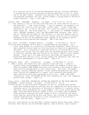as a creative artist in the Harlem Renaissance and her lifelong commitment to preserving the cultural heritage of African-Americans in the U.S. South and in the West Indies. Excerpts from Hurston's own writing are frequently interspersed throughout the text, giving readers a strong sense of Hurston's unique character. (Age 11 and older)

- Paulsen, Gary. WOODSONG. Bradbury. 132 pages. (0-02-77-221-9) \$12.95 "...I was running a team in the north and they were out there ahead of me and it was beautiful... And I knew nothing. I was so ignorant, so steeped in not knowing that I did not even know what I didn't know. I didn't know what questions to ask, or how to ask them, and I would not begin to learn until Storm taught me. His blood taught me..." The author of DOGSONG (Bradbury 1985), HATCHET (Bradbury, 1987) and THE WINTER ROOM (Orchard, 1989) tells how he trained and ran dogs for the Iditarod, a 1,180-mile dogsled race in Alaska. Paulsen relates robust survival stories from his life in northern Minnesota as well as the memorable inner odyssey of his changing values concerning active hunting and trapping. (Age 9 and older)
- Say, Allen. EL CHINO. Houghton Mifflin. 32 pages. (0-395-52023-1) \$14.95 A picture-book biography of Bill Wong, a Chinese-American bullfighter. As a child, Wong dreamt of a career as a professional basketball player but his small physical stature kept him from realizing his dream as he approached adulthood. Still interested in pursuing athletics, he discovered on a trip to Spain that he was just the right size for bullfighting and, after years of training, achieved fame and fortune as "El Chino," Spain's first Chinese matador. Allen Say's full-page watercolor paintings are reproduced in black-and-white and full color, giving readers the impression that they are looking at photographs in a family album. (Ages 4-8)
- Stevenson, James. JULY. Greenwillow. 32 pages. (0-688-08822-8) \$12.95 "...When I young, each month was like a glacier slowly melting..." begins a largely visual autobiographical narrative about the summers 50 years ago when this popular NEW YORKER cartoonist and children's book humorist spent a month with his grandparents at their beach house. New rules, old summer friends, varying oceanside weather, sticky toasted marshmallows and almostscary stories are remembered in a spare, witty narrative punctuated with small watercolor paintings reproduced in full color. WHEN I WAS NINE (Greenwillow, 1986) and HIGHER ON THE DOOR (Greenwillow, 1987) are companion picture book volumes. (Ages 5-9)

Tolan, Sally. JOHN MUIR; NATURALIST, WRITER AND GUARDIAN OF THE NORTH AMERICAN WILDERNESS. Gareth Stevens. 68 pages. (0-8368-0099-0) \$12.45 A brief account of the Scots-born originator of the U.S. national park system draws upon standard works by and abut Muir but emphasizes his early years in Wisconsin and at the University of Wisconsin in Madison to a greater extent than most other biographies for young readers. Full-color scenic photos and maps; black-and-white archival images of Muir, his family and colleagues; brown-and-white sketches and other images of Muir's inventions and notes; brief side-bar quotations by Muir and others; and listings of conservationrelated organizations contribute to this introduction to an activist's vision, life and works. (Ages 11-14)

See also: Black Heroes of the Wild West; Cynthia Gregory Dances Swan Lake; Family Pictures; Kate Shelley and the Midnight Express; Land of Narnia; Laura Ingalls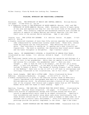Wilder Country; Place My Words Are Looking For; Teammates

## **FOLKLORE, MYTHOLOGY AND TRADITIONAL LITERATURE**

Bierhorst, John. THE MYTHOLOGY OF MEXICO AND CENTRAL AMERICA. William Morrow. 239 pages. (0-688-06721-2) \$14.95

In a companion volume to THE MYTHOLOGY OF NORTH AMERICA (Morrow, 1985) and THE MYTHOLOGY OF SOUTH AMERICA (Morrow, 1988), Bierhorst retells 20 basic myths of the area and explains how they fit into the world views of the people who told them. This carefully compiled and documented resource also includes an analysis of aspects of modern Mexican and Central American life that have their roots in the ancient Native mythology. (Age 13 and older)

Cousins, Lucy. THE LITTLE DOG LAUGHED. U.S. edition: Dutton. 64 pages. (0-525- 44573-0) \$14.95

A freshly conceived treatment of more than fifty entries explodes the prevailing idea communicated by conventional nursery rhyme books. These bold, vibrant forms and figures are far from precious. They definitely are not lily white. They contribute to waking up, to opening one's eyes literally and figuratively. The mood is carefree, the characters bear mixed racial images and the humor throughout is delightful. (Age 9 months-4 years)

Geras, Adele. MY GRANDMOTHER'S STORIES; A COLLECTION OF JEWISH FOLK TALES. Illustrated by Jael Jordan. U.S. edition: Alfred A. Knopf. (0-679-80910-4) \$17.95

Ten traditional Jewish tales are interwoven within the narrative and dialogue of a girl's visit to her grandmother. While they cut apples to mix with the nuts and raisins for a strudel, the grandmother asks "...Have you ever thought..., what it must be like to be hungry?...Let me tell you a story about...a very rich merchant...in the days of King Solomon..." Other tales include "A Tangle of Wools," "The Garden of Talking Flowers," and "A Phantom at the Wedding." Each tale in the 10  $3/8$ " x 8  $1/8$ " book is intriguingly and invitingly visualized in two illustrations, one in full color. (Ages 5-10)

Hale, Sarah Josepha. MARY HAD A LITTLE LAMB. Photo-illustrated by Bruce McMillan. Scholastic/Hardcover. 32 pages. (0-590-43773-9) \$12.95 A modern interpretation is given to the familiar nursery rhyme as McMillan's clearly reproduced color photographs show Mary as a contemporary rural African-American child. An afterword provides a history of the rhyme, full text of the original 1830 version and a sample lesson from an 1857 McGuffey Reader which used the rhyme to teach reading. (Ages 3-7)

Hamilton, Virginia. THE DARK WAY; STORIES FROM THE SPIRIT WORLD. Illustrated by Lambert Davis. Harcourt Brace Jovanovich. 154 pages. (0-15-222340-1) \$19.95 Twenty-five stories of supernatural beings from cultures around the world are retold in appropriately eerie tones by an expert storyteller. Hamilton's fine introduction and careful notes about each story intellectually link these diverse reflections of "an ancient need in humans to make order out of disorder and to control their environment." Fifty-five haunting full-color paintings provide the perfect complement to the tales. (Age 8 and older)

Hedlund, Irene. MIGHTY MOUNTAIN AND THE THREE STRONG WOMEN. Translated from the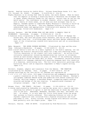Danish. English version by Judith Elkin. Volcano Press/Kazan Books (P.O. Box 270, Volcano, CA 95689). 28 pages. (0-912078-86-3) \$14.95 Mighty Mountain is so strong that when he walks, the earth shakes. When he hears that the emperor is holding a wrestling match to determine the strongest man in Japan, Mighty Mountain heads for the capital, certain that he can win the match easily. His confidence is eroded, however, after a chance meeting with a family of three women, all of whom are much stronger than he is. Happily, Grandma agrees to undertake Mighty Mountain's training to build up his strength for the match. This wry Japanese folktale is retold with understated humor and appropriately illustrated with amusing full-color paintings, filled with exuberance. (Ages 4-9)

Knutson, Barbara. HOW THE GUINEA FOWL GOT HER SPOTS; A SWAHILI TALE OF FRIENDSHIP. Carolrhoda. 32 pages. (0-87614-416-4) \$12.95

A humorous story originating in East Africa involves the effort of Nganga the Guinea Fowl, who once had glossy black feathers, and Cow as they attempt to stay safe from Lion. A striking page layout and book design underscore the vigor of the illustrations created with watercolors and ink on scratchboard. (Ages 4-8)

Mahy, Margaret. THE SEVEN CHINESE BROTHERS. Illustrated by Jean and Mou-sien Teng. Scholastic/Hardcover. 38 pages. (0-590-42055-0) \$12.95

From a brief editor's note set in a small typeface at the book's opening, one can glimpse the historic and political basis for a Han tale featuring seven "fictive characters in the classic tall-tale tradition." An action-filled, culturally substantial recounting demonstrates how justice is ultimately served as each brother employs his power on behalf of the suffering laborers conscripted to build the Great Wall of China. Incremental variations within the repetitive language combined with mounting suspense mark this rendition of a humorous, entertaining tale. The full-color watercolor paintings offer historical detail and an exquisite complement to Mahy's superb writing. (Ages 4-10)

Mitchell, Stephen, adaptor and translator from the Hebrew. THE CREATION. Illustrated by Ori Sherman. Dial. 32 pages. (0-8037-0618-9) \$15.89 Sixteen paintings by the late artist Ori Sherman are reproduced as

- 9 1/2" x 11 1/2" full-color, full-page illustrations and endpapers accompanied by a poetic translation of the Creation Story from Biblical Hebrew. Sherman's calligraphy combines Hebrew words and symbolism from Jewish tradition with flaming, swirling imagery: a banished dragon, trumpeting angels working miracles and beings of the new creation. A sophisticated treatment of religious concepts. (Age 5 and older)
- Morgan, Pierr. THE TURNIP. Philomel. 32 pages. (0-399-22229-4) \$13.95 A turnip seed planted by Dedoushka on a spring day grows into a massive specimen, resisting his efforts to uproot it and the exertions of those who come to join in the pull: Baboushka, Mashenka, Geouchka (the dog), and Keska (the cat). Of course, it is only when the little field mouse joins the group that success is finally achieved. This enduring folktale is told in the rhythmic repetitive text collected from a Russian storyteller and first published in 1938. Richly colored, strong figures with definite outlines mesh perfectly with the simple prose. (Ages 2-4)

Perrault, Charles. PUSS IN BOOTS. Illustrated by Fred Marcellino. Translated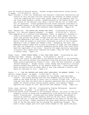from the French by Malcolm Arthur. Michael DiCapua Books/Farrar Straus Giroux. 32 pages. (0-374-36160-6) \$14.95

Magic footwear, a flair for fraudulence and fantastic tomfoolery characterize any version of this 300-year-old tale involving the reversal of humble origins. From the compelling full-color book jacket image of the debonair hero to the final page showing a formal, framed painting of the famous feline, this new version of the Perrault tale about a miller and his cat is fresh and full of surprises. Unique perspectives and visual patterns contribute to the dynamic beauty of an edition with unusual typography, page layout and design. Honor Book, 1990 CCBC Caldecott Book Discussion. (Ages 4-8)

Rose, Deborah Lee. THE PEOPLE WHO HUGGED THE TREES. Illustrated by Birgitta Saflund. U.S. edition: Roberts Rinehart. 32 pages. (0-911797-80-7) \$12.95

 This adaptation of a folktale from Rajasthan, India, is especially relevant to today's environmental concerns. Amrita Devi has a deep respect for the trees that protect her desert village from the hot sun and the sandstorms. When the Maharajah's men come to cut down the trees to build a fortress, Amrita leads her people in nonviolent resistance as each of the villagers embraces a tree to impede the axemen's work. Enraged by the news, the Maharajah himself comes with a troop of soldiers to fight the tree-huggers but they are stopped by a terrible sandstorm during which they learn firsthand the importance of the trees. Detailed full-page watercolor paintings illustrate this legend which inspired the Chipko ("Hug the Tree") Movement in modern India. (Ages 4-8)

Stamm, Claus. THREE STRONG WOMEN; A TALL TALE FROM JAPAN. Illustrated by Jean and Mou-sien Teng. Viking. 32 pages. (0-670-83323-1) \$12.95

Although the tale itself is described in the Hedlund annotation on the preceding page, this edition differs from Hedlund's retelling and also from an earlier Stamm version published by Viking in 1962. Here the main character is named "Forever-Mountain." Bright colors, visual whimsy and attention to cultural details earmark this edition of the popular Stamm text. Claus Stamm first heard the age-old tale in Japan where it has long remained a favorite and where he continues to live. (Ages 4-9)

Taylor, C. J. HOW TWO-FEATHER WAS SAVED FROM LONELINESS; AN ABENAKI LEGEND. U.S. edition: Tundra Books. 24 pages. (0-8876-254-9) \$12.95

At the end of winter, Two-Feather is hungry for two things: food and human contact. His chance meeting with the Corn Goddess fulfills both of his needs as she shows him how to plant corn to sustain village life. Set in a long-ago time when the Earth was so sparsely populated that one person could wander for months without seeing another person, this Abenaki legend explains the origins of fire, agriculture and communal living. (Ages 4-8)

Yolen, Jane, reteller. TAM LIN. Illustrated by Charles Mikolaycak. Harcourt Brace Jovanovich. 32 pages. (0-15-284261-6) \$14.95

A Scottish ballad first recorded in the sixteenth century, the story of Tam Lin is elegantly retold in prose and accompanied by vivid watercolor and colored pencil illustrations. Sixteen-year-old Jennet MacKenzie, determined to reclaim an ancestral castle presently held by the Fair Folk, accidently summons Tam Lin, a young man long imprisoned by the Queen of the Fey and soon to be killed. Jennet confronts the Faery Queen during a Hallow's Eve ride of the Fey and saves Tam Lin through her unswerving courage. The book's visual images glow with lush tartan shades of red, green and gold,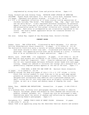complemented by strong black lines and pristine whites. (Ages 6-9)

Young, Richard and Judy Dockrey Young. FAVORITE SCARY STORIES OF AMERICAN CHILDREN. August House Publishers (P.O. Box 3223, Little Rock, Arkansas 72203). 112 pages. Paperback with perfect binding. (0-87483-119-9) \$8.95 A 6 3/4" x 10" paperback collection of 12 scary stories told by generations of children includes "The Golem", "The Hobbyahs", "Rap...Rap...Rap!" and "Jack and the Sally-Bally". A well expressed afterword interprets the perennial appeal of scary tales and is aimed at adults, while the brief source notes and pronunciation guide for this global collection will interest readers of all ages. Each story is accompanied by one illustration reproduced in two colors. The book's modest appearance belies the treasures between its covers. (Ages 7-11)

See also: Indian Way; Legend of the Christmas Rose; Sorrow's Kitchen

# **CONCEPT BOOKS**

Dunbar, Joyce. TEN LITTLE MICE. Illustrated by Marie Majewska. U.S. edition: Gulliver Books/Harcourt Brace Jovanovich. 24 pages. (0-15-200601-X) \$13.95 Ten distinctive field mice enjoy a variety of outdoor adventures but one by one each mouse returns to their cozy nest. Illustrated with detailed, realistic paintings, this appealing picture book can be enjoyed as a story, a counting book or as an introduction to simple subtraction. (Ages 3-5)

Ehlert, Lois. COLOR FARM. J.B. Lippincott. 38 pages. (0-397-32441-3) \$12.89 Nine familiar farm animals are introduced in the visually exciting format Ehlert used in COLOR ZOO (Lippincott, 1989). Creative combinations of basic shapes die-cut into layered pages delineate different animal heads with each pageturning. Shapes are labeled to reiterate the concept and a barnyard full of geometrically composed animals appears at the end of the book. (Ages 3-7)

............. FISH EYES; A BOOK YOU CAN COUNT ON. Harcourt Brace Jovanovich. 32 pages. (0-15-228050-2) \$13.95

Swimming through the deep blue pages of this  $6 \frac{3}{4} \times 11 \frac{3}{8}$ " volume, a little black fish invites readers to count from one to ten as each page spread presents an increasing number of brightly colored fish. This skillfully designed book incorporates easy addition into a patterned rhyming text. Small circles die-cut into every page serve as brightly colored eyes on fishes, as well as a visual and sensory means of keeping the count. (Ages  $2 - 6$ 

Hoban, Tana. SHADOWS AND REFLECTIONS. Greenwillow. 32 pages. (0-688-07090-6) \$12.88

In a wordless book, striking color photographs challenge children to identify objects, buildings, people and animals by their shadows and reflections in puddles, windows, pavement, etc. Viewers may also be encouraged to make observations about the nature of shadows and reflections by comparing and contrasting Hoban's photographs. (Ages 4-7)

Konigsburg, E.L. SAMUEL TODD'S BOOK OF GREAT COLORS. Atheneum. 32 pages. (0-689-31593-7) \$13.95 Samuel Todd is an appealing young boy who describes familiar objects and animals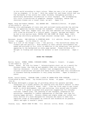in his world according to their colors: "When you see a lot of gray shaped like an elephant, it is one." With the verbal wit and fresh vision that are the hallmarks of her novels for older children, Konigsburg provides a marvelously delectable introduction to color concepts. Her accompanying full-color illustrations of pumpkins, bananas, flamingos, zebras and chocolate kisses are a visual treat, as well. (Ages 2-4)

Magee, Doug and Robert Newman. ALL ABOARD ABC. Cobblehill/Dutton. 48 pages. (0-525-65036-9) \$13.95

Stunning color photographs of train cars and railroad tracks provide the setting for an appealing journey through the alphabet. Outside views of diesel engines, tank cars, hopper cars, box cars and cabooses are nicely balanced with close-up pictures of a control panel, coupler, springs and wheels. As he did in his earlier book, TRUCKS YOU CAN COUNT ON (Dodd, Mead, 1985), Magee has skillfully produced a high-interest concept book. (Ages 2-5)

Morozumi, Atsuko. ONE GORILLA; A COUNTING BOOK. U.S. edition: Farrar, Straus & Giroux. 24 pages. (0-374-35644-0) \$13.95

"Here is a list of the things I love. / One gorilla. / Two butterflies among the flowers and one gorilla." Nine animals in their natural environments are named and pictured in full color in addition to the ubiquitous "one gorilla" appearing in the background on every page spread. Young children will delight in finding and counting the animals in each illustration. (Ages 2- 4)

### **BOOKS FOR TODDLERS**

Barton, Byron. BONES, BONES, DINOSAUR BONES. Thomas Y. Crowell. 32 pages. (0-690-04825-4) \$12.95

"Bones. Bones. We look for bones." Paleontologists start out on a search for dinosaur bones, dig them up and assemble them into reconstructions of familiar dinosaurs. A brief, rhythmic text accompanied by flat, boldly colored illustrations outlined with heavy black lines make this introduction to dinosaur-hunting accessible to very young children. (Ages 18 months-3 years)

Brown, Laurie Krasny. TODDLER TIME; A BOOK TO SHARE WITH YOUR TODDLER. Illustrated by Marc Brown. Joy Street/Little, Brown. 40 pages. (0-316-11263-1) \$14.95

The Browns developed a unique way of providing advice for parents and baby caregivers in a format perfect for sharing with the book's subject in their book BABY TALK (Alfred A. Knopf, 1989). Like the first easy-to-use visual guide to child development, care and nurturing, this second user-friendly 11 3/4" x 9" guide is packed with practical suggestions for everyday routines, toddler play, the learning of new concepts, preparation for excursions, responses to toddler expressions of feelings, and tips for staying happy and well. Nursery rhymes and simple songs are tucked into every section of a book designed for everyone who wants to make this important stage of development as creative and celebrative as possible. (Adult and ages 12 months-3 years)

Cousins, Lucy. MAISY GOES TO BED. U.S. edition: Little, Brown. 14 pages.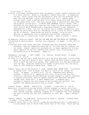(0-316-15832-1) \$10.95

A clever stiff-page, moveable-parts book introduces a fresh, toddler-centered view of a daily routine. Maisy is a sprightly toddler-mouse who - in preparing for bed - gets a drink from the refrigerator; goes into the bathroom (potty seat lifts up and down, toilet tissue pulls out, etc.); washes hands; brushes teeth; reads a bedtime book (it's tucked inside this book and has its own pages which turn); and falls asleep under a distinctively patterned and brightly colored quilt. In MAISY GOES SWIMMING (Little, Brown, 1990), children can once again pull tabs and lift flaps (or watch someone else do this) each of which demonstrates a step Maisy masters to get completely undressed for a swim. All will be logical from a toddler perspective, even though the parts which move for undressing are as literal as actual toddlers can be in reality. These books are bold in concept, vivid in color, abstract in appearance, fun to manipulate and welcome innovative alternatives to conventional sturdy toy books. (Ages 12 months- 3 years)

De Regniers, Beatrice Schenk. HOW JOE THE BEAR AND SAM THE MOUSE GOT TOGETHER. Illustrated by Bernice Myers. Lothrop, Lee & Shepard. 32 pages. (0-688-09079-6) \$12.95

A big bear and a tiny mouse find that, although they have different needs and interests, they are compatible every day at 3:00 when they get together for ice cream. Simple, repetitive sentences set in large typeface for Joe and small typeface for Sam are combined with comical color illustrations in a satisfying story of friendship. (Ages 2-4)

Dupasquier, Philippe. I CAN'T SLEEP. U.S. edition: Orchard Books. 32 pages. (0-531-05874-3) \$13.95

- At first it's dad who can't sleep and while he's up doing some work, little sister wakes up, wanting a glass of milk. Before long the whole family's awake and after a snack and some star gazing, they tumble back into bed and sleep well into the day. Detailed, humorous but tender illustrations tell the entire story in this charming wordless book. (Ages 2-5)
- Hudson, Cheryl Willis and Bernette G. Ford. BRIGHT EYES, BROWN SKIN. Illustrated by George Ford. Just Us Books (301 Main St. Suite 22-24, Orange, NJ 07050). 24 pages. (0-940975-10-6) \$12.95 (Paperback with perfect binding: 0-940975-23-8) Appealing full-color illustrations show four distinctly individual African-American children engaged in typical preschool or daycare activities, while an upbeat rhyming text describes the four: "Bright eyes, brown skin / a heart-shaped face / a dimpled chin..." Intended to enhance the self-esteem of African-American children, this powerful and empowering praise song is unique. (Ages 2-5)
- Isadora, Rachel. BABIES. Greenwillow. 24 pages. (0-688-08031-6) \$12.95 Watercolor illustrations portray eleven toddlers engaged in typical activities from morning to night. Each portrait is accompanied by a single descriptive word (eating, playing, laughing, singing, etc.); toddlers and their grownups may wish to extend the text with commentary of their own. (Ages 9 months-3 years)

Johnson, Angela. DO LIKE KYLA. Illustrated by James E. Ransome. Orchard Books. 32 pages. (0-531-08452-3) \$14.99

A typical winter day in the life of a young African-American girl is described in a first-person text in which older sister Kyla is the focus. While getting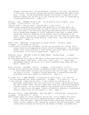dressed, braiding hair, eating breakfast, playing in the snow, and walking to the store, the narrator watches and imitates everything her older sister does. A warm, loving relationship between two sisters is depicted in the perfectly paced text as well as in the stunning full-color oil paintings by a promising young artist. (Ages 2-5)

Marzollo, Jean. PRETEND YOU'RE A CAT. Illustrated by Jerry Pinkney. Dial. 32 pages. (0-8037-0774-6) \$12.89

"Can you hiss? / Can you scat? / Can you purr / like a cat?"

Rhymed verses using patterned language pose questions to children about the various actions and noises they can make to imitate 13 familiar animals. Full-color pencil and watercolor paintings show preschoolers from diverse racial backgrounds engaged in lively imaginative play next to boxed insets containing realistic drawings of the animals they're pretending to be. Large, clear illustrations, an appealing topic and the inviting format make this a perfect book for group sharing. Honor Book, 1990 CCBC Caldecott Book Discussion. (Ages 2-5)

Mazer, Anne. WATCH ME. Illustrated by Stacey Schuett. Alfred A. Knopf. 32 pages. (0-394-82946-8) \$12.95

A young child's activities throughout the day are recounted in a lyrical firstperson narrative accompanied by boldly colored illustrations. The inviting, playful text calls attention to both sensory and visual details which make up the whole of the child's experiences. (Ages 2-4)

McMillan, Bruce. ONE SUN; A BOOK OF TERSE VERSE. Holiday House. 32 pages. (0-8234-0810-8) \$14.95

An Asian-American boy's day at the beach is described with pairs of one-syllable rhyming words: "sand hand / lone stone / snail trail..." Clear color photographs capture the spirit of a child's exuberant play midst sand and water. (Ages 2-4)

Stott, Dorothy. TOO MUCH. Dutton. 32 pages. (0-525-44569-2) \$10.95 A bright yellow duckling who enters a household kitchen looking for a good place to swim finds plenty of water but in places that are too soapy, too tight, too high or too hot. Brightly colored watercolor illustrations show the persistent duckling's search for perfection. (Ages 2-4)

Williams, Sue. I WENT WALKING. Illustrated by Julie Vivas. U.S. edition: Gulliver Books/Harcourt Brace Jovanovich. 32 pages. (0-15-200471-8) \$13.95

"I went walking. / What did you see? / I saw a black cat looking at me." A patterned, predictable text tells the story of a small, spiky-haired child who sees a brown horse, red cow, green duck, pink pig, and yellow dog while outside walking. As the child leads an ever-growing line of animals from left to right across the pages, Vivas's delightfully energetic illustrations provide visual clues for the animals to come. (Ages 2-5)

Williams, Vera B. "MORE MORE MORE," SAID THE BABY; 3 LOVE STORIES. Greenwillow. 32 pages. (0-688-09174-1) \$12.88

Affectionate names for active toddlers (Little Guy, Little Pumpkin and Little Bird); exploratory activities emphasizing basic human features (belly button, toes and eyes); repetitive baby-focused narratives centered on three times of every toddler's day (waking up, being up and falling asleep); three loving adults guiding and caring for the babies (a daddy, a grandma and a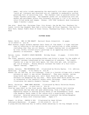mama); and color triads expressing the emotionally rich short pieces which "catch up" listeners and receivers are all combined in exuberantly unified paintings full of encircling love. The rhythmic text is painted within the larger rhythmic paintings. The handsome jacket art is harmonious with the warmth and excitement within this diversely pictured 11  $1/4$ " x 10" world of color-filled words and images. Winner, 1990 CCBC Caldecott Book Discussion (Ages 9 months-3 years)

See also: Beach Day; Christmas Time; City Street; Day We Met You; Feathers for Lunch; Little Dog Laughed; Mary Had a Little Lamb; My First Passover; One Gorilla; Rain Talk; Samuel Todd's Book of Great Colors; Thanksgiving Treat; Waiting for Noah

### **PICTURE BOOKS**

Baker, Keith. WHO IS THE BEAST? Harcourt Brace Jovanovich. 32 pages. (0-15-296057-0) \$12.95

When several jungle animals express their fears of "the beast," a tiger realizes they're referring to him and points out his similarities to other animals, concluding that they are all beasts. A simple rhyming text is accompanied by rich, boldly colored acrylic paintings in an appealing story about peaceful co-existence. (Ages 3-5)

Balian, Lorna. WILBUR'S SPACE MACHINE. Holiday House. 32 pages. (0-8234-0836- 1) \$14.95

The clean, peaceful valley surrounding Wilbur and Violet's house "in the middle of nowhere" becomes transformed by the congestion of suburbia. The couple figures out a way to have more space, but they also get, and, ultimately, get rid of Googie!. Minute details increase the humor of a full-color "space" fantasy. (Ages 4-7)

Barber, Antonia. THE MOUSEHOLE CAT. Illustrated by Nicola Bayley. U.S. edition: Macmillan. 32 pages. (0-02-708331-4) \$14.95 Mowzer the cat and Tom, an old fisherman, lived in a Cornish village with a harbor entrance so small it was called "Mousehole". They were content, eating morgy-broth and star-gazy pie, until Great Storm-Cat made the harbor entrance too dangerous for any boat. Their brave deed which saved the town is celebrated in the candlelit harbor every Christmas. Jewel-toned art illustrates the sweetly dramatic fantasy. (Ages 5-8)

Berry, Christine. MAMA WENT WALKING. Illustrated by Maria Christina Brusca. Henry Holt. 32 pages. (0-8050-1261-3) \$14.95

From her easy-chair on the front porch, Mama describes several hair-raising experiences she has when she goes adventuring, from a flash flood in Ropacactus Canyon to snoring grizzly bears in the Blackenbatty caves. Each time daughter Sarah comes to her rescue with a surprisingly creative solution. Detailed watercolor paintings illustrate the mother/daughter flights of fancy with vivacious humor. (Ages 4-7)

Bogart, Jo Ellen. DANIEL'S DOG. Illustrated by Janet Wilson. Scholastic/Hardcover. 30 pages. (0-590-43402-0) \$11.95 A young African-American boy is subtly shown adjusting to two big changes in his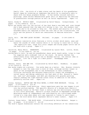family life: the birth of a baby sister and the death of his grandfather. Daniel copes by inventing an imaginary dog which he is eventually able to share with his Asian playmate Norman. In her boldly colored realistic paintings, Janet Wilson demonstrates great skill at depicting the emotions of preschoolers through posture as well as facial expressions. (Ages 3-6)

Byers, Rinda M. MYCCA'S BABY. Illustrated by David Tamura. Orchard Books. 32 pages. (0-531-05828-X) \$13.95

Mycca can hardly wait for the arrival of her Aunt Rose's new baby and, even though she's been assured that the baby will belong to her, too, she wonders just how much she'll be allowed to help out. The warmth and security of a loving extended family are captured in both the text and in the illustrations, the style and the palette of which are reminiscent of Mexican muralists. (Ages 4-7)

Carle, Eric. THE VERY QUIET CRICKET. Philomel. 24 pages. (0-399-21885-8) \$17.95

A multi-sensory cumulative story features a little cricket which meets, sees and hears the sounds of other insects while it is trying to learn how to chirp. The repetitive text, large full-color images and sturdy pages invite use of the book with a group. (Ages 4-7)

Carlstrom, Nancy White. GRANDPAPPY. Illustrated by Laurel Molk. Little, Brown. 32 pages. (0-316-12855-4) \$13.95

During Nate's visit, he and his grandfather share quiet beach walks, trips to town for supplies and a midnight look at the stars. No matter whether the affectionate story takes place now or decades earlier, the central idea is timeless: live "as a light in a dark place". Grandpappy does. (Ages 5-8)

Chetwin, Grace. BOX AND COX. Illustrated by David Small. Bradbury. 32 pages. (0-02-718314-9) \$13.95

Box works nights as a printer. Cox works days as a hatter. Mrs. Bouncer cleverly manages to rent the same room to both of them, although neither tenant is aware of the arrangement due to the differences in their schedules. Victorian cartooning and Savoyard theatricality create the atmosphere; a varied layout and design underscore the fast pace of Mrs. Bouncer's "waste not, want not" philosophy; and deft pen drawing with gouache painting require reading the light-hearted visual story in addition to the short, gracefully written text. (Ages 5-8)

Cooney, Barbara. HATTIE AND THE WILD WAVES; A STORY FROM BROOKLYN. Viking. 40 pages. (0-670-83056-9) \$14.95

Little Hattie always loved painting. Every experience gave her new images to put into her picture-making. The specific details of a German-born family's increasing luxury on the East Coast a century ago are meticulously recorded in full-color paintings. Hattie's in-born vocation is expressed through her developing sense of independence and individuality as a privileged woman living in a time when sheer will was required to listen to one's heart... and to the wild waves which represent Hattie's inner turmoil. (Ages 6-9)

Couture, Susan Arkin. THE BLOCK BOOK. Illustrated by Petra Mathers. Harper & Row. 32 pages. (0-06-020523-7) \$12.89 The book's square dimensions contain the rollicking adventure of two industrious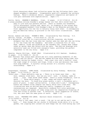block characters whose junk collection saves the day following their coneshaped neighbor's emergency. Irrepressible good will earmarks the unlikely fantasy. Mater's whimsical detail, imaginative composition and master of line pair wackiness with sophistication. (Ages 3-7)

Curtis, Gavin. GRANDMA'S BASEBALL. Crown. 32 pages. (0-517-57389-X) \$12.95 A young grandson notices Grandma's grumpy manner now that she's moved from far away to live with his parents and him. There is oatmeal for breakfast, little afterschool leisure and, above all, no slamming of the screen door. The autographed baseball from Grandpa's days on the Monarchs provides the first opportunity for the two to mutually enjoy each other. A contemporary African-American family is pictured in the full-color illustrations. (Ages  $4 - 7)$ 

Davies, Andrew and Diana. POONAM'S PETS. Illustrated by Paul Dowling. U.S. edition: Viking. 28 pages. (0-670-83321-5) \$12.95

In a delightful story set in a multicultural British classroom, shy Poonam whispers that she has lions when her teacher asks her what pet she can bring in for the Class One Pet Assembly. And midst a classroom full of cats, dogs, rabbits, birds and goldfish on Pet Assembly Day, Poonam does indeed cause an uproar when she enters with her pets. Pen-and-ink drawings with watercolor wash are filled with energetic humor, providing the perfect complement to the wry story. (Ages 3-6)

Denslow, Sharon Phillips. NIGHT OWLS. Illustrated by Jill Kastner. Bradbury. 32 pages. (0-02-728681-9) \$12.95

Aunt Charlene "has always been afraid she will miss something wonderful if she goes to bed too early". She and her nephew William enjoy being night owls together during his summer visits. They roast corn over a bonfire, count the night songs of crickets and frogs, climb a tree and decorate the night with soap bubbles. A colorful loving account of a colorful loving relationship. (Ages 4-7)

Dragonwagon, Crescent. HOME PLACE. Illustrated by Jerry Pinkney. Macmillan. 32 pages. (0-02-733190-3) \$14.95

"Every year, / These daffodils come up. / There is no house near them ... But once, someone lived here. How can you tell? Look. A chimney, made of stone ... Look. Push aside these weeds - here's a stone foundation, laid on earth ..." Three white people - a man, woman and school-aged girl discover the more: "A round blue glass marble, a nail, a horseshoe and a piece of plate. A small yellow bottle. A china doll's arm." Contemporary hikers and readers alike imagine the family which once lived here. The illustrations show an African-American family; fragments of their conversations are imagined. Beautifully rendered full-color paintings picture flowers and people of today along with the imaginative flowering of life and living in another time. A reflective, quiet suggestion of others, too, who once used the same piece of earth. (Ages 7-10)

Ehlert, Lois. FEATHERS FOR LUNCH. Harcourt Brace Jovanovich. 32 pages. (0-15-230550-5) \$13.95

"...Uh-oh. Door's left open, just a crack. / My cat is out and he won't come back!..." Even though the cat stalks 12 different birds while it's in the garden, the jingling bell around its neck keeps the cat from having any luck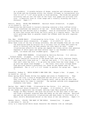as a predator. A notable balance of drama, surprise and information about the birds and the blossoms within the vibrant collages is incorporated into this 12  $1/4$ " x 7  $1/4$ " story-quide to bird watching. The birds are painted accurately and all but the ones on the final four pages are pictured life size. A beautiful book at close range and a visually stunning one from a distance! (Ages 2-7)

Everitt, Betsy. FRIDA THE WONDERCAT. Harcourt Brace Jovanovich. 32 pages. (0-15-229540-2) \$13.95

A mysterious box delivered to Louise's doorstep contains a blue ruffled collar which transforms the behavior of her cat. Frida bakes bean soup, drives a Sunday bus and waltzes with a neighbor. Such an accelerated life proves to be more than Louise and Frida can fully enjoy on a regular basis. The full color paintings done in gouache create the offbeat mood the plot requires. (Ages 5-8)

Fox, Mem. POSSUM MAGIC. Illustrated by Julie Vivas. U.S. edition: Gulliver/Harcourt Brace Jovanovich. 32 pages. (0-15-200572-2) \$13.95

After Husk tires of the fun of being invisible, she and Grandma Poss set out from the Australian bush by bicycle for a culinary tour of towns and treats by which to discover how the baby possum can once again be seen. Large illustrations effective for group use expand the lively action over generous expanses of white space and show several ways to use Grandma's striped socks, tie-shoes and star studded apron. (Ages 4-8)

......... SHOES FROM GRANDPA. Illustrated by Patricia Mullins. U.S. edition: Orchard Books. 32 pages. (0-531-08448-5) \$13.99

An up-to-date cumulative variation on The House That Jack Built features Jessie and rings with lines such as "...And her mom said, / 'I'll buy you a skirt that won't show the dirt, / to go with the socks from the local shops, / to go with the shoes from Grandpa'..." The final, full-color collage shows high-spirited Jessie's preference for jeans as she dashes away on her skateboard! The 11  $1/2$ " x 9  $1/2$ " format is perfect for group use. (Ages 3-7)

Greenblat, Rodney A. UNCLE WIZZMO'S NEW USED CAR. Harper & Row. 32 pages. (0- 06-022097-X) \$13.89

Every spring Uncle Wizzmo drives his nephew and niece to Fleeberville. They enjoy the trip: a stop at Burgerland and the glitz of the used car lot. They like to strike a deal with Turnpike Larry, and he does he have some amazing deals for them to consider! The episode unfolds with exaggerated Pinkwater-like humor. (Ages 5-8)

Harley, Rex. MARY'S TIGER. Illustrated by Sue Porter. U.S. edition: Gulliver/Harcourt Brace Jovanovich. 24 pages. (0-15-200524-2) \$13.95 No one seems to appreciate the striped, smiling tiger Mary painted at school except for Mary herself, who pins the picture on the wall next to her bed and finds a pleasant surprise when she wakes up the next morning. Spirited pen-and-ink and watercolor illustrations add warm humor to this story of a small child's determined belief in the value of her own efforts. (Ages 3-5)

Henkes, Kevin. JULIUS, THE BABY OF THE WORLD. Greenwillow. 32 pages. (0-688-08943-7) \$12.95 Lilly is a long-tailed white mouse character who behaves like an indulged,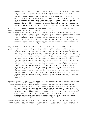reckless young human. Before Julius was born, Lilly was the best big sister in the world. Her crown, cape and red cowboy boots convey her selfproclaimed superiority in a world she thinks now revolves around what is a disgusting baby. Readers of CHESTER'S WAY (Greenwillow, 1988) will recognize Lilly even in her Groucho glasses; they'll know she will think of ways to handle the challenge. And she does - usually going to the edge with a very naughty, original flair which typically lands her in the "uncooperative chair". Remarkable pacing earmarks a text well integrated with art created by a combination of watercolors and black pen. (Ages 5-8)

Howe, James. HAROLD & CHESTER IN HOT FUDGE. Illustrated by Leslie Morrill. William Morrow. 48 pages. (0-688-08237-8) \$13.95 Harold, Chester and Howie, three of the pets at the Monroe house, join forces to guard a pan of precious fudge. The treat's mysterious disappearance creates a "hot" fudge puzzle for chocolate-loving Harold and his two cohorts to solve. Bunnicula, feature player in an earlier Howe book (BUNNICULA; A RABBIT-TALE OF MYSTERY, Atheneum, 1979), plays a bit part this time around. Exuberant full-color illustrations capture the moods and personalities of these appealing animals. (Ages 4-6)

Hughes, Shirley. THE BIG CONCRETE LORRY. (A Tale of Trotter Street) U.S. edition: Lothrop, Lee & Shepard. 32 pages. (0-688-08535-0) \$13.95 With two parents, three children, a dog and a cat, the Patterson family has outgrown their tiny house on Trotter Street but they don't want to move and leave their friends and neighbors. Instead they decide to build an addition onto the back of their house with the help of Mr. Lal and his son Rhajit and Frankie and Mae's dad from up the street. All goes according to plan until the cement truck shows up a day early and leaves a "shivering heap" of quick-setting cement by the Patterson's front door. Everyone pitches in to help load wheelbarrows and buckets full of wet cement to push and carry through the Patterson house, rushing to finish the work before the cement dries. Although the Patterson children are pleased with the addition to their house once it's finished, they are absolutely thrilled with the unplanned addition to their front yard -- a small hill of dried concrete, left-over from their hard day's work. Once again, Shirley Hughes shows her ingenious skill at depicting the cooperative efforts of a multicultural, working-class neighborhood and at telling a rollicking good story, all the while keeping the interests and concerns of young children at the heart. (Ages 3-7)

Johnson, Angela. WHEN I AM OLD WITH YOU. Illustrated by David Soman. 32 pages. Orchard Books. (0-531-05884-0) \$14.95

A warm, tender relationship between a grandfather and his young grandson is recounted through the child's verbalized projections of all the things they'll do together when the child is as old as Grandaddy: "When I am old with you, Grandaddy, we will play cards all day underneath that old tree by the road. / We'll drink cool water from a jug and wave at all the cars that go by." Gentle, softly colored watercolor paintings show the African-American grandfather and grandson doing today all the things they look forward to doing together in the future. (Ages 3-6)

Kalman, Maira. MAX MAKES A MILLION. Viking. 32 pages. (0-670-83545-5) \$14.95 "Call me Max. / Max the dreamer. / Max the poet. / Max the Dog. / My dream is to live in Paris ... / But do you think it is easy for a dog to pack a small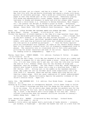brown suitcase, put on a beret, and hop on a plane? Ha! ..." Max lives in New York City with Ida and Morris Stravinsky and shares a studio with Bruno, painter of invisible paintings. Max's words are inventively arranged on the pages so that they become part of the illustrations. Humorously playing with words and expressionistic visual images, Kalman's sophisticated testimony to dreams and dreamers is wacky and wild but always under control. The more a child knows (i.e. reference to Helena Rubinstein, Marc Chagall, etc.) the greater the delight at Kalman's plays on words. Everything contributes to the humor, including the front and back matter and the jacket design. Honor Book, 1990 CCBC Caldecott Book Discussion. (Age 9-adult)

Kesey, Ken. LITTLE TRICKER THE SQUIRREL MEETS BIG DOUBLE THE BEAR. Illustrated by Barry Moser. Viking. 32 pages. (0-670-81136-X) \$14.95 Tricker the Squirrel is slowly awaking to the idea of a ripe hazelnut feast when "a holy dad-blamed gosh-almighty roar came kabooming ... like a freight druv by the Devil himself, or at least his next hottest hollerer ..." Tricker himself "... hung there, petrified, spraddle-eagled spellbound stiff in midair, with eyes big as biscuits and every hair stabbing straight out from him like quills on a puffed-up porcupine! ..." Once the feisty squirrel pulls his considerable wits together, he takes on the "double double hongry" bear in this robustly original story full of eloquently exaggerated turns of phrase. The cumulative tale is illustrated with 13 full-color paintings picturing the animal characters and some of the action. Equally wonderful for reading aloud or independently. (Ages 5-11)

Khalsa, Dayal Kaur. COWBOY DREAMS. U.S. edition: Clarkson N. Potter. 24 pages. (0-517-57490-X) \$13.95

From the time she was a baby, little May has dreamed of her future as a cowboy and in order to prepare for it she really needs a horse! Since she lives in the city, it's not very likely she'll get one, not even the life-size toy horse she sees at F.A.O. Schwarz (meant only for the children of kings and maharajas, says her grandma). But that doesn't stop May, whose imaginative efforts once turned a roller skate into a dog in a previous book, I WANT A DOG (Potter, 1987). Sitting tall in the saddle on her basement-banister horse, May rides off into an Old West which looks suspiciously like a set from 1950s T.V. westerns, where she and her cowboy pals sing and act out familiar cowboy songs. With her usual combination of verbal understatement and visual humor, Khalsa brilliantly depicts the powerful richness of the child's interior world. (Ages 4-8)

Lewis, Kim. THE SHEPHERD BOY. U.S. edition: Four Winds Press. 24 pages. (0-02- 758581-6) \$13.95

Growing up on a sheep farm in contemporary England, little James longs to follow in his father's footsteps and help with the sheep but his parents tell him he is too young. For an entire year James watches his parents care for the sheep, waiting for his turn, and on Christmas day James is surprised with a cap, a crook, a dog whistle and a collie puppy of his very own. Softly colored illustrations show the seasonal activities involved in running a modern sheep farm. (Ages 3-6)

Lyon, George Ella. BASKET. Illustrated by Mary Szilagyi. Orchard Books. 32 pages. (0-531-05886-7) \$14.95 Grandma's little white oak basket held a multitude of handy objects -- scissors, pot holders, a flashlight -- and when the basket was lost in a move from the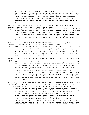country to the city, "...everything she couldn't find was in it." For years, Grandma regretted the loss of her basket and all it contained. Years after her death, the basket was found and the only thing in it was a spool of cream-colored thread. Glowing colored pencil and watercolor pictures illustrate a poetic narrative told from the point-of-view of an adult granddaughter who values the basket for the stories and memories it holds. (Ages 4-7)

MacDonald, Amy. RACHEL FISTER'S BLISTER. Illustrated by Marjorie Priceman. Houghton Mifflin. 32 pages. (0-395-52152-1) \$13.95

A parade of helpers is summoned to fix the blister on a child's left toe: "...Find her brothers and some others. / Send them off to bring some aid. / Go enlist her little sister. / Fetch the rabbi. Fetch the maid..." A reliable literary device and a fast pace are perfectly matched with the aristocratic chaos chronicled in watercolors and pen and ink. The jolly nonsense is certain to engage the active participation of those hearing and seeing it. (Ages 3-7)

McDonald, Megan. IS THIS A HOUSE FOR HERMIT CRAB? Illustrated by S. D. Schindler. Orchard Books. 32 pages. (0-531-05855-7) \$14.95

When a hermit crab outgrows his shell, he goes out in search of a new home, trying out a rock, a tin can, a piece of driftwood, a plastic pail, a hole in the sand and a fishing net before he finds a home that is just right. Gritty, sand-colored pastel illustrations are the perfect complement to a text which uses repetition and onomatopoeia and asks direct questions to involve young listeners in the story. (Ages 3-5)

Macaulay, David. BLACK AND WHITE. Houghton Mifflin. 32 pages. (0-395-52151-3) \$14.95

What is black and white and read all over... and over? One response might be this study of Holstein cows, an escaped convict, train stations, a toy train and railroad passengers. What at first seems to be four separate stories ("Seeing Things," "Problem Parents," "A Waiting Game," and "Udder Chaos") emerges as a multilayered whole as characters, designs and realities merge. A blizzard of words cannot be separated from the visual images it stimulates on the page. All is not black and white nor was it ever intended to be: the full-color art has several possible meanings. A striking jacket design and the 1930s details set the mood for an extraordinary puzzle which must be read again and pored over in order to capture its subtle, brilliant humor. (Ages 4-12)

Mahy, Margaret. THE GREAT WHITE MAN-EATING SHARK; A CAUTIONARY TALE. Illustrated by Jonathan Allen. U.S. edition: Dial. 24 pages. (0-8037-0749-5) \$12.95 "...There was once a boy called Norvin who was a good actor but rather plain. In fact, he looked very like a shark. He had small sharkish eyes, a pointed sharkish head, and sharp sharkish teeth. Unfortunately, there are not many plays written with good parts for sharks, so Norvin took up swimming instead..." Aggravated because he has to share Caramel Cove with other swimmers, Norvin clears the beach after strapping a homemade dorsal fin around his substantial middle and "shooting through the water like a silver arrow..." When the real sharks are also fooled by Norvin's splendid performance, his shark impersonations end abruptly. Mahy's playfulness with an image she has also used in writing about her writing is a tribute to her inventiveness. Allen's hilarious full-color images of Norvin are perfectly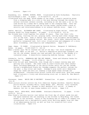bizarre. (Ages 4-9)

Rosenberg, Liz. WINDOW, MIRROR, MOON. Illustrated by Ruth Richardson. Charlotte Zolotow/Harper & Row. 32 pages. (0-06-025075-5) \$12.89 Illustrated with the deep, muted shades of the night, a poetic narrative moves

from a sleeping baby in a crib to the moon shining through the window to several nocturnal animals outside, including an owl who sees a car on the road driven by a woman who's coming home to her sleeping baby. Both the distinctive illustrations and the lulling verbal rhythm evoke a mood of security and interconnectedness in an unusual bedtime story. (Ages 3-6)

Sadler, Marilyn. ELIZABETH AND LARRY. Illustrated by Roger Bollen. Simon and Schuster Books for Young Readers. 40 pages. (0-671-69189-9) \$13.95 Two friends have lived together for almost 40 years. They like their life: vacuuming, visiting the zoo, playing cards, telling each other things they tell no one else. Does it matter that Larry is an alligator and Elizabeth is a human? Does anybody notice? Who cares! Droll humor characterizes the perfectly integrated text, full-color illustrations and endpapers of a story about friendship, individuality and independence. (Ages 5-8)

Sage, James. TO SLEEP. Illustrated by Warwick Hutton. Margaret K. McElderry Books. 24 pages. (0-689-50497-7) \$12.95

When a mother says "We've reached the end of the day," her child responds by asking "What is the end...?" Hutton's imaginative paintings transport the two out the window, beyond the town and past the stars to the dreams of a contented sleep. A beautifully reassuring bedtime fantasy. (Ages 3-6)

Schoberle, Cecile. ESMERALDA AND THE PET PARADE. Simon and Schuster Books for Young Readers. 32 pages. (0-671-67958-9) \$14.95

Juan loves his pet goat Esmeralda, even though she's always running away and getting into trouble. The other kids on Juan's block have their doubts about including Esmeralda in the Garcia Street entry for the Pet Parade during a neighborhood Fiesta but Grandpa suggests the perfect costume for the goat: a dog collar and leash. Grandpa's plan works until Esmeralda snaps her leash and sets out leading a high-speed chase through the neighborhood. Linoleum block prints tinted with muted blue, gold and orange hues illustrate a lively and entertaining story set in Santa Fe, New Mexico. (Ages 4-7)

Stevenson, James. WHICH ONE IS WHITNEY? Greenwillow. 40 pages. (0-688-09061-3) \$12.95

Three picture stories involve the five identical Dugong children: cheerful Warren; polite Winnie; friendly Wally; funny Wendy; and - Whitney, truly talented, but not in ways Mrs. Grouper or Mort Mackerel will notice. A comedy of manners, but not in ways young readers will notice. (Ages 5-8)

Teague, Mark. MOOG-MOOG, SPACE BARBER. Scholastic/Hardcover. 32 pages. (0-590- 43332-6) \$12.95

Elmo Freem's terrible haircut just before the first day of school sends him and the space monsters who are snacking in the kitchen to Moog-Moog, the finest barber in the universe. Hints of Van Allsburg and of today's TV imagery are incorporated into a delightfully goofy story deriving appeal from the idea of an embarrassing haircut as well as from its inventive full-color illustrations. (Ages 5-8)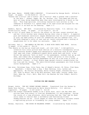Van Laan, Nancy. POSSUM COME A-KNOCKIN'. Illustrated by George Booth. Alfred A. Knopf. 24 pages. (0-394-82206-4) \$11.95

"Granny was a-sittin' and a-rockin' and a knittin' when a possum come a-knockin' at the door." Granny, Pappy, Ma, Pa, Brother, Sis, Coon-dawg and Tom-cat were all busy doing something when they were interrupted by a knock on the door. This high-spirited, rollicking cumulative tale written in the cadences of Southern U.S. speech begs to be read aloud and enjoyed for the sound of it as much as the meaning. (Ages 3-7)

Waddell, Martin. AMY SAID. Illustrated by Charlotte Voake. U.S. edition: Joy Street/Little, Brown. 24 pages. (0-316-91636-6) \$12.95

Amy is full of good ideas to rectify the effect of the most recent mischief she and her little brother have created during their stay at Gran's. A superior pace and exuberant watercolor images demonstrate how two active preschoolers at play can make plenty of work for themselves and for someone else, too. The book displays a unity of text and art rarely achieved and a catalog of naughtiness not to be taken too seriously. (Ages 3-6)

Zelinsky, Paul O. THE WHEELS ON THE BUS; A BOOK WITH PARTS THAT MOVE. Dutton. 15 pages. (0-525-44644-3) \$14.95

- "The wheels on the bus go round and round...all over town." A delightfully inventive full-color picture book edition of a favorite contemporary action song contains durable pages with manipulative functions such as bus doors that open and close, windshield wipers which swish back and forth, a bus driver who gestures "move on back" to his passengers, windows that go up and down, and riders who go bumpety-bump. Visual sub-plots in this sturdy, inviting book feature various passengers as well as a bus stop in front of the public library. A final double page spread cleverly recapitulates the bus trip and the verses. The adult/child/infant passengers are from diverse racial backgrounds. (Ages 3-7)
- See also: Christmas Carp; Color Farm; Day of Ahmed's Secret; El Chino; Fish Eyes; Hanukkah!; I Really Want a Dog; I Went Walking; July; Latkes and Applesauce; My Prairie Christmas; North Country Night; Pretend You're a Cat; Puss In Boots; Sam Is My Half-Brother; Snow Lady; Turnip; Under Your Feet; Wake Up, City!; Wall; What Will the Weather Be Like Today?; World's Birthday

# **FICTION FOR NEW READERS**

Broger, Achim. THE DAY CHUBBY BECAME CHARLES. Translated from the German by Renee Vera Cafiero. Illustrated by Emily Arnold McCully. U.S. edition: Lippincott. 90 pages. (0-397-32145-7) \$12.89

Julia has always considered Chubby to be a quiet bore, until the day when she arrives home from school to find her grandmother ill and sleeping. During the course of a long afternoon, while worrying that her "Oma" may be dead, Julia comes to realize what a worthwhile and fascinating friend Chubby/Charles can be. Vivid images of these two realistic children create a captivating picture of friendship for young readers. (Ages 7-9)

Herman, Charlotte. THE HOUSE ON WALENSKA STREET. Illustrated by Susan Avishai.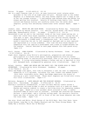Dutton. 78 pages. (0-525-44519-6) \$11.95

Set in a small Russian town in 1913, an easy historical novel relates seven episodes in the life of an eight-year-old girl. Because Leah is the eldest daughter in a fatherless family, her busy mother expects her to keep an eye on her two younger sisters -- a challenging task because Rose and Esther are always getting into mischief. Details of working-class family life, Jewish culture and Russian history are carefully woven into the seven short chapters, giving this satisfying transitional novel unusual depth. (Ages 7- 9)

Joubert, Jean. WHITE OWL AND BLUE MOUSE. Illustrated by Michel Gay. Translated from the French by Denise Levertov. U.S. edition: Zoland Books (385 Huron Avenue, Cambridge, Massachusetts 02138). 64 pages. (0-944072-13-5) \$13.95 Determined to put an end to the continual raids of the local mouse-eating owl, a

small but clever blue mouse launches a retaliatory attack. Luring the owl from spot to spot, she gleefully leads him into various natural hazards: a whipping branch, a hidden pond, a treacherous rock. As a result of the mouse's conniving the owl is left exposed at daylight and is soon captured and imprisoned in a circus sideshow. Over time the blue mouse begins to sympathize with the captive's predicament and a bond is forged between the two enemies. Comical sketches on each page enhance this fast-paced story. (Ages 6-8)

Kroll, Steven. GONE FISHING. Illustrated by Harvey Stevenson. Crown. 48 pages. (0-517-57589-2) \$12.95

Eight short chapters relay Willie's anticipation, preparation and eventual participation in a much-loved annual fishing expedition with his father. The fishing event is realistically portrayed, even to the lack of successful catches. A loving relationship between a father and son is depicted in this well designed book, accompanied by generous color illustrations. (Ages 6-8)

Rylant, Cynthia. HENRY AND MUDGE AND THE HAPPY CAT; THE EIGHTH BOOK OF THEIR ADVENTURES. Illustrated by Sucie Stevenson. Bradbury. 48 pages. (0-02-778008-2) \$11.95

Henry and Mudge rise again, this time to encounter a lost cat that is completely endearing in it's ugliness, including "fur that looked like mashed prunes." With their inimitable style, Henry and Mudge experience the misery of letting go a well loved friend. Three short chapters are filled with lively full-color illustrations. (Ages 5-7)

Wetterer, Margaret K. KATE SHELLEY AND THE MIDNIGHT EXPRESS. Illustrated by Karen Ritz. Carolrhoda. 48 pages. (0-87614-425-3) \$9.95

Braving a torrential thunderstorm, 15-year-old Kate Shelley crawls across a treacherous railroad bridge to warn an oncoming train of a wash-out ahead. Rhythm and tension combine to create a thrilling story for beginning readers of all ages. Based on a true incident which occurred in 1881, a useful afterword adds an extra note of interest: although she received one hundred dollars, a gold medal, and a lifetime railway pass, the heroine's favorite honor was that of being left off in front of her own house whenever she rode the train home. (Ages 7-10)

See also: Black and White; Black Heroes of the Wild West; Hero Over Here; Laura Loves Horses; Long Way to Go; Mighty Mountain and the Three Strong Women; My Daddy Was a Soldier; Which One Is Whitney?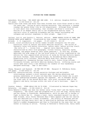#### **FICTION FOR YOUNG READERS**

Aamundsen, Nina Ring. TWO SHORT AND ONE LONG. U.S. edition: Houghton Mifflin. 103 pages. (0-395-52434-2) \$13.95

Twelve-year-olds Jonas and Einar have been friends ever since Einar moved to Oslo two years ago. During an early morning excursion, they encounter a teenage runaway who greets Einar like an old acquaintance. Although Einar refuses to talk about this relationship, that incident and Einar's irrational dislike of an Afghan family new to the neighborhood mystify Jonas. A realistic story of enduring friendship and the issues surrounding war refugees and societal responses to their plight. (Ages 8-11)

Carlson, Lori M. and Cynthia L. Ventura, editors. WHERE ANGELS GLIDE AT DAWN; NEW STORIES FROM LATIN AMERICA. Illustrated by Jose Ortega. Introduction by Isabel Allende. J. B. Lippincott. 114 pages. (0-397-32424-3) \$13.89

A brief, lucid introduction by writer Isabel Allende interprets the 500-year historical roots of Central and South American narrative. She writes of fantastic tales told before television, before radio, before writing itself. She tells of "... voices from ... magical Latin American lands characterized by their wild geography, violent history, beautiful myths, legends, and people moved by their great passions." In this way, Allende describes the wide range of the ten brief works of fiction translated by the editors for this unparalleled collection of works by Chilean Marjorie Agosin and Ariel Dorfman, Cuban Reinaldo Arenas; El Salvadorian Mario Bencastro; Argentinian Julio Cortazar; Peruvian Maria Rosa Fort; Mexican Jorge Ibarguengoitia; Panamanian Enrique Jarmillo Levi; Puerto Rican Alfredo Villanueva-Collado; and North American Barbara Mujica. Differing styles and voices make each story a new adventure for readers of this handsomely designed anthology. (Age 10 and older)

Chang, Margaret and Raymond. IN THE EYE OF WAR. Margaret K. McElderry Books. 198 pages. (0-689-50503-5) \$13.95

Excellent characterizations, strong narrative dialogue and believable relationships earmark a story centered upon the daring adventures and growing resentments of 10-year-old Shao-Shao toward his father who is part of the underground movement against the Japanese. Set in Shanghai during the final year of the Second World War, this novel recreates some of the domestic and daily intrigue within the calm of war's hurricane. (Ages 10- 13)

Cormier, Robert. OTHER BELLS FOR US TO RING. Illustrated by Deborah Kogan Ray. Delacorte. 136 pages. (0-385-30245-2) \$13.95

Darcy Webster's father has what her mother calls "itchy feet" and the family moves frequently. The latest urge has prompted him to join the army, moving Darcy and her mother to Frenchtown, Massachusetts, while he goes off to Europe to fight in World War II. Always a loner, Darcy considers herself too shy to make friends, until feisty Kathleen Mary O'Hara appears and the two realize they are destined for a great friendship. The novelty of Kathleen and her religion intrigue Darcy until she is mystified by Kathleen and Kathleen's family's sudden disappearance and then is flattened by the news that her own father is missing in action. Turning to Kathleen's Catholicism, Darcy seeks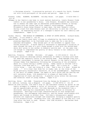a Christmas miracle. A provocative portrait of a search for faith, fleshed out with vivid portrayals of the place and period. (Ages 10-12)

Gleeson, Libby. ELEANOR, ELIZABETH. Holiday House. 129 pages. (0-8234-0804-3) \$13.95

Unhappy in her family's new home in rural western Australia, lonely Eleanor finds comfort in her grandmother's diary. Like Eleanor, Elizabeth was uncertain how to handle the same type of adolescent predicaments Eleanor is facing: quarrels with her mother and first romantic relationships. Although Elizabeth's diary helps Eleanor in many ways, the most dramatic occurs during a bush fire when Eleanor must act decisively to save her life and others. An engrossing account of a teenager's search for self identity and independence. (Ages 11-13)

Gordon, Sheila. THE MIDDLE OF SOMEWHERE; A STORY OF SOUTH AFRICA. Orchard Books. 154 pages. (0-531-05908-1) \$13.95

- Rebecca and her family know their village is scheduled by the South African planning department to be flattened soon to make way for a new white suburban development. They become part of the movement to oppose this forced relocation. A black family's resistance to apartheid's injustice is seen through the eyes of a girl young enough to play with the second-hand white doll given to her mother in domestic service and - at the same time old enough to comprehend the gravity of daily threats to her community and its people. (Ages 9-12)
- Hamilton, Virginia. COUSINS. Philomel. 125 pages. (0-399-22164-6) \$14.95 A three-part narrative develops several dimensions of Cammy's intimacy with Gram Tut whom she regularly visits in the nursing home. Gram emerges from this physical containment to become the central dynamic in the family's effort to release Cammy from depression following her witnessing of the accidental death of a cousin during a summer outing. Cammy learns to welcome life's "winters" from Gram and to "... take what comes. Put a focus on ... each little thing ... Just one thing at a time. That's how it's done. Always be ready ..." It's clear that Gram Tut is ready; and, at the close of the brief partially surrealistic narrative, so is her granddaughter. Regardless of the swirl of sudden change, the depth of one's grief and the feeling one will certainly drown, life possibility is always at hand midst the complexities of event and emotion. A powerful story within the emotional and technical reach of young readers. (Ages 8-12)

Hartling, Peter. OLD JOHN. Translated from the German by Elizabeth D. Crawford. U.S. edition: Lothrop, Lee & Shepard. 120 pages. (0-688-08734-3) \$11.95 Before he even arrives, Old John's stay at the Schirmers creates an uproar as the family attempts to compose a letter of invitation. Seventy-five years old and as unpredictable as ever, Old John descends on the household like a whirlwind, exerting his considerable force of character on everyone he encounters. Hartling's brilliant characterization of this exceptional grandfather, his unflagging individuality, and his honest relationship with family and friends is without flaw. Old John's idiosyncratic speech patterns are ingeniously wrought and translated, bringing a tangible quality to his eccentricities. Brimming with life, the memory of Old John will live long after the book is read. Winner, 1990 CCBC Mildred L. Batchelder Book Discussion. (Ages 9-12)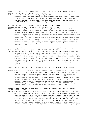Hurwitz, Johanna. CLASS PRESIDENT. Illustrated by Sheila Hamanaka. William Morrow. 85 pages. (0-688-09114-8) \$12.95 Fifth-grader Julio Sanchez is intrigued by Mr. Flores, a new teacher who pronounces his name accurately and also notices the boy's latent leadership ability. Short sentences and brief chapters move along a new story about peer relationships which were first featured in CLASS CLOWN (Morrow, 1987) and TEACHER'S PET (Morrow, 1988). (Ages 8-10)

Johnson, Annabel. I AM LEAPER. Illustrated by Stella Ormai. Scholastic/Hardcover. 105 pages. (0-590-43400-4) \$11.95

While the other caged animals in the laboratory plead for freedom in their own languages, Leaper, a Kangaroo rat, manages to speak to the scientists in English, telling them she has "come to talk ... about a matter of life and death." Overwhelmed by this breakthrough in human-animal communication, the researchers ignore her pleas for aid against a "monster" who threatens her desert home. Julian, a twelve-year-old helping out at the lab after school, attempts to help Leaper, only to find that he is unwittingly linked to the destructive menace. The ethics of animal research and habitat protection are explored in this fast-paced adventure illustrated with black-and-white sketches. (Ages 8-10)

King-Smith, Dick. ACE, THE VERY IMPORTANT PIG. Illustrated by Lynette Hemmant. U.S. edition: Crown. 134 pages. (0-517-57832-8) \$12.95

The seventh piglet of the litter, with an unusual ace-shaped marking on his side, Ace was born with "bright eyes that had in them a look of great intelligence." This early indicator proves only too true, and Ace soon has established himself exactly where he wants to be: ensconced in front of the television watching educational and entertaining programs. Quick to use his wits whenever the need arises, Ace follows grandly in the tradition of his equally astounding great-grandfather BABE, THE GALLANT PIG (Crown, 1983). (Ages 7-10)

Lowry, Lois. YOUR MOVE, J.P.! Houghton Mifflin. 122 pages. (0-395-53639-1) \$13.95

Twelve-year-old J.P. can't believe the thoughts he is having about Angela Patricia Galsworthy: "Hair like spun gold; teeth like pearls; eyes like pools; skin like porcelain." Although filled with self-disgust, J.P. is unable to quench his all-consuming infatuation, and exerts extreme effort to capture the attention of his beloved. His development of "triple framosis," a rare and fatal disease conceived entirely for Angela's benefit, proves to be the impetus of his undoing. Introduced in THE ONE HUNDREDTH THING ABOUT CAROLINE (Houghton Mifflin, 1983) and re-visited in SWITCHAROUND (Houghton Mifflin, 1985), J.P. is once again in fine form. (Ages 11-13)

Pearson, Kit. THE SKY IS FALLING. U.S. edition: Viking Kestrel. 248 pages. (0-670-82849-1) \$12.95

Choosing between staying at home in England acting as a vital member of the Secret Society of Skywatchers, collecting shrapnel and viewing aerial dogfights or being shipped off to a safe haven elsewhere is no contest to Norah. A fear of missing the excitement of war and a deeper fear of leaving home grips Norah when her parents announce that she and her younger brother are to be evacuated to Canada. Although the ocean journey proves a distraction, Norah's stay in Canada consists of a downward spiral of events which lead her into a seemingly hopeless depression. Circumstances eventually conspire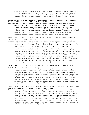to provide a satisfying remedy to her despair. Pearson's smooth writing style and sympathetic insight into child-like responses to overwhelming stress ring true from beginning to end in this engrossing tale which offers a fresh look at the experience of World War II children. (Ages 10-12)

Semel, Nava. BECOMING GERSHONA. Translated by Seymour Simckes. U.S. edition: Viking. 153 pages. (0-670-83105-0) \$12.95

Tel Aviv of 1958 is the setting for Gershona's story, her personal search for identity and belonging, echoed by that of the post World War II Israel nation. A grandfather that she never knew of arrives from America, neighborhood children discard her offerings at friendship, and a developing relationship with a boy produces its own uncertainties. Gershona's intense emotions are finely portrayed in this ambitious look at growing maturity on different levels, both personal and national. (Age 11 and older)

Soto, Gary. BASEBALL IN APRIL, AND OTHER STORIES. Harcourt Brace Jovanovich. 109 pages. (0-15-205720-X) \$14.95

Strong evocations of childhood and young adolescence unfold in eleven original stories concerning ordinary contemporary youth: Michael and Jesse trying out for the Little League for the third year in a row; Lupe Medrano with a "razor-sharp mind" and the will to become a champion in one sport or another; and the young teenager who feels too old to be with the family on a vacation and too uncertain of independence to enjoy being left behind. Distinctive low-key humor, well crafted opening and closing sentences, small surprises in external dialogue and internal action earmark brief works of fiction about Mexican-American family/neighborhood/school life in central California valley towns. The universal experiences hold high appeal for male and female readers alike. The glossary defines the Spanish language words and phrases used in context throughout the book. Honor Book, 1990 CCBC Newbery Book Discussion. (Ages 11-14)

Tate, Eleanora E. THANK YOU, DR. MARTIN LUTHER KING, JR.! Franklin Watts. 237 pages. (0-531-15151-4) \$12.90

Gumbo Grove is once again the setting for a story involving Mary Elouise, an elementary school-aged girl whose pride in her African-American heritage grows appreciably throughout this contemporary story concerning personal self-esteem and racial pride. A visiting African-American storyteller and Mary Elouise's grandmother represent important mentors as Mary Elouise gains new insights. As she first did in JUST AN OVERNIGHT GUEST (Dial, 1980), Tate once again reliably examines sensitive, intra-racial issues directly and effectively, using lively and believable peer dialogue and motivations recognizable to readers. (Ages 9-12)

Taylor, Mildred D. MISSISSIPPI BRIDGE. Illustrated by Max Ginsburg. Dial Books for Young Readers. 62 pages. (0-8037-0426-7) \$12.95

From his vantage point on the front steps of the Wallace store in a small Mississippi town in the 1930s, Jeremy Simms, a ten-year-old white boy, watches as the weekly bus pulls in to load passengers and luggage. As the seats begin to fill up with white passengers, the Black passengers are ordered off the bus. Sensitive Jeremy sees the unfairness in the situation but he remains a silent bystander. Interracial tensions and interactions are flawlessly depicted in this gripping story which builds to a dramatic, surprising ending. Co-Winner, 1990 CCBC Coretta Scott King Book Award for Writing Book Discussion. (Ages 9-13)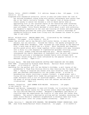Thiele, Colin. JODIE'S JOURNEY. U.S. edition: Harper & Row. 169 pages. (0-06- 026132-3) \$13.89

Diagnosed with rheumatoid arthritis, active 12-year-old Jodie faces the loss of her beloved horseback riding along with painful adjustments more severe than she or her family initially foresee. The typical risk of being without others nearby to assist her becomes a life-or-death matter when an approaching fire in the isolated region of her Australian home threatens Jodie's safety and that of her horse. In response to a letter from an 11 year-old reader, Colin Thiele decided to write about a girl with arthritis; his daughter's expertise on the care and training of horses and show-jumping championships provided the other plot dimension. Thiele's knowledge of rheumatoid arthritis stems from living with the disease for almost 40 years. (Age 10 and older)

Walter, Mildred Pitts. MARIAH KEEPS COOL. Illustrated by Pat Cummings. Bradbury. 139 pages. (0-02-792295-2) \$12.95

Summer has arrived, and so has Mariah's half-sister Denise, to whom the family adjusts, but not entirely. Outside her family, the spunky protagonist of MARIAH LOVES ROCK (Bradbury, 1988) focusses her high energy on The Fabulous Five, a swim team on which she is a diver. Short sentences and chapters, quickly paced action and a large typeface invite readers with many interests into a story in a new sequence of lighthearted episodes revolving around this lively, middle class African-American girl. Walter smoothly interweaves the family observance of Juneteenth into the plot and likewise skillfully pictures a contemporary blended family with strongly held cultural values along with those influenced by the popular culture of the dominant society. (Ages 8-11)

Willard, Nancy. THE HIGH RISE GLORIOUS SKITTLE SKAT ROARIOUS SKY PIE ANGEL FOOD CAKE. Illustrated by Richard Jesse Watson. Harcourt Brace Jovanovich. 64 pages. (0-15-234332-6) \$15.95

Searching for the perfect gift for her Mother's birthday, a girl learns of her grandmother's "High Rise Glorious Skittle Skat Roarious Sky Pie Angel Food Cake." Hoping to surprise her mother with this celestial treat from the past she searches unsuccessfully for the hidden recipe. A string of serendipitous events involving a ceramic football, a grand piano, and a flying red star-shaped Jello leads the protagonist to the recipe and a latenight encounter with a trio of uninvited angels. This story about love and the power of giving blends smoothly with the radiant and detailed illustrations. (Ages 6-9)

Woodson, Jacqueline. LAST SUMMER WITH MAIZON. Delacorte. 105 pages.  $(0-385-30045-X)$  \$13.95

Margaret and Maizon, inseparable 11-year-old friends, try to picture the changes to come when Maizon leaves for the private school where she expects to be the only African-American student. Margaret's dependency upon Maizon is clarified when she experiences the finality of loss after her father dies suddenly. The author's descriptive writing and her insights concerning the women within Maizon's immediate neighborhood in Brooklyn make this firstpublished short novel for young readers noteworthy. (Ages 10-13)

Wrede, Patricia C. DEALING WITH DRAGONS; THE ENCHANTED FOREST CHRONICLES: BOOK ONE. Jane Yolen Books/Harcourt Brace Jovanovich. 212 pages. (0-15-222900-0)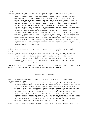Princess Cimorene has a reputation of taking little interest in the "proper" interests and pastimes befitting her social station. She'd much rather fence, practice magic, learn economics or cook cherry jubilee than dance, embroider or draw. Her disregard for etiquette is only compounded by her height ("Her parents were quite sure that no prince would want to marry a girl who could look him in the eye instead of gazing up at him becomingly through her lashes"), her hair (black and braided, not golden and flowing), and her disposition ("strong-minded" bordering on "stubborn as a pig"). News of her impending marriage to a neighboring prince, whose sole redeeming feature is his good looks, prompts Cimorene to run away seeking to change her lot in life by becoming a princess to a dragon. The fact that princesses are kidnapped by dragons in the normal course of events, rather than being volunteers for the role, doesn't faze Cimorene in the slightest. Once established in her new lair, Cimorene's independent spirit and intelligence soon embroil her in a non-stop adventure involving a helpful witch, scheming wizards, fellow dragons' princesses, and a host of dragons. Cimorene is a truly memorable heroine, and her fresh and humorous story shatters more than a few rules of conventional fantasy, after the fashion of Cimorene herself. (Ages 9-13)

Yee, Paul. TALES FROM GOLD MOUNTAIN; STORIES OF THE CHINESE IN THE NEW WORLD. Illustrated by Simon Ng. U.S. edition: Macmillan. 64 pages. (0-02-793621-X) \$14.95

Eight original stories utilize elements of the history and culture of Chinese laborers in Canada and the U.S.A. Some of the fictions read like tall tales; others are literary ghost stories with unusual twists. The collection as a whole is quirky and imaginative in appeal. A single intriguing full-color, full-page painting illustrates each tale in an incomparable book. (Ages 9-12)

See also: Aida; Christmas Carol; Legend of the Christmas Rose; Little Tricker the Squirrel Meets Big Double the Bear; My Grandmother's Stories

### FICTION FOR TEENAGERS

Avi. THE TRUE CONFESSIONS OF CHARLOTTE DOYLE. Orchard Books. 215 pages.  $(0-531-05893-X)$  \$14.95

Sailing as the only passenger (and only female) from England to Rhode Island is the extraordinary position in which Charlotte Doyle finds herself in June of 1832. The voyage's inevitable disasters are foreshadowed from the moment she boards the ship. Charlotte's class identification with Captain Jaggery blinds her to his manipulation of her naive loyalty, and to his cruelty to the crew. Her eventual alliance with the mutinous crew is possible only after calamitous events which expose her to previously unthought of realities about herself and others. Written in the romantic style of a 19th century adventure story, this thrilling tale relentlessly commands attention from the beginning to an entirely satisfying and unexpected conclusion. Honor Book, 1990 CCBC Newbery Book Discussion. (Age 12 and older)

Bell, Clare. RATHA AND THISTLE-CHASER. Margaret K. McElderry Books. 232 pages.

# \$15.95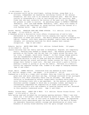$(0 - 689 - 50462 - 4)$  \$14.95 In an alternate world led by intelligent, talking felines, young Newt is a solitary, independent cat haunted by terrifying visions of the ominous Dreambiter, her only link to an otherwise forgotten past. When her daily routine is threatened by a clan of cats moving into her territory, Newt finds that she must reconcile the horrors of her past with the changes in her present in order to survive. An absorbing sequel to RATHA'S CREATURE (McElderry, 1983) and CLAN GROUND (McElderry, 1984), deals with themes of trust, loyalty and individual vs. group survival within the context of a rich fantasy world. (Age 12 and older) Brooks, Martha. PARADISE CAFE AND OTHER STORIES. U.S. edition: Little, Brown. 124 pages. (0-316-10978-9) \$14.95 A Canadian writer's distinctive voice offers illuminations of mid-to-late adolescence in 14 works of short fiction ranging over typical teenage experience in theme and content. The deftly penned stories are anything but typical, however, with their exquisite phrases, subtle humor and gentle insights, all conveying realities for which readers have instant recognition. (Age 14 and older) Doherty, Berlie. WHITE PEAK FARM. U.S. edition: Orchard Books. 102 pages. (0-531-05867-0) \$12.95 Jeannie believes that her family and home in Derbyshire, England, are completely static; "Nothing even seemed to change there. The seasons printed their

patterns on the fields, and the sky cast its lights across the moors, but our lives, I thought, would never change." In fact things change greatly, from her Grandmother's departure, to a sister's marriage, to her own impending decision to stay at home and help her mother or go to college. Jeannie watches her sister and brother choose courses for their own lives to escape their father's rigid rule. She must also select a path to follow, seeking a career or giving it up for her family. Patterns in a family's history are repeated through time, framed in an image of changing seasons. (Age 14 and older)

Gripe, Maria. AGNES CECILIA. Translated from the Swedish by Rika Lesser. U.S. edition: Harper & Row. 288 pages. (0-06-022282-4) \$14.89

Orphaned as a child by a tragic auto accident, Nora has lived for years with her great-aunt and uncle and their son Dag. Although convinced of her surrogate family's love, Nora invariably feels like an intruder. Her sense of isolation is heightened by several inexplicable incidents which begin to occur following a move into a new apartment. As the mystery unfolds Nora discovers another tragedy to which she is strongly linked, and begins to increasingly comprehend the complexities of human relationships. An intricate realistic plot and elements of haunting fantasy are well balanced in this smoothly translated novel. (Age 13 and older)

Hendry, Frances Mary. QUEST FOR A MAID. U.S. edition: Farrar Straus Giroux. 273 pages. (0-374-36162-2) \$14.95

Once having read and relished the intriguing opening sentence ("When I was nine years old, I hid under a table and heard my sister kill a king"), one cannot help but devour the rest of this novel at break-neck speed. An engrossing adventure story embroidered upon the known history of the Maid of Norway, its memorable characters exhibit courage and determination at every turn. Elements of sorcery blend smoothly with the aptly wrought historical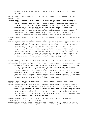realism; together they create a living image of a time and place. (Age 12 and older)

Ho, Minfong. RICE WITHOUT RAIN. Lothrop Lee & Shepard. 236 pages. (0-688- 06355-1) \$12.95

Contemporary Thailand is the locale for a dramatic suspense-filled narrative unfolding in both rural and urban settings. Seventeen-year-old Jiuda gradually understands some of the complex factors changing her family and village during the Thai student movement in 1973-76. The author grew up in Thailand; as a young teacher living and working there she witnessed inequities of tenant farm life, dangers of political movements combatting rural poverty and the brash courage of idealism which her protagonist experiences. A survival theme, romantic subplot, and intense political story await readers of this compelling novel. (Ages 14 and older)

Klause, Annette Curtis. THE SILVER KISS. Delacorte. 198 pages. (0-385-30160-X) \$14.95

Not recommended for the faint-hearted, this story of an unlikely romance between a contemporary teenager and a handsome, emotionally tortured 300-year-old vampire successfully combines a comparison of death (that which is sought after and that which strikes unexpectedly) with the requisite gore of any self-respecting vampire tale. Simon seeks death as an escape from the loneliness of his vampire state while Zoe's mother suffers painfully from cancer; together both Simon and Zoe become better equipped to handle their individual dilemmas. Readers of romance and horror alike will appreciate the story of Simon and Zoe's developing relationship while secretly savoring the suspense of the more gruesome events. (Age 13 and older)

Klein, Robin. CAME BACK TO SHOW YOU I COULD FLY. U.S. edition: Viking Kestrel. 188 pages. (0-670-82901-3) \$11.95

Living with unimaginative Thelma, who is so organized that "even her wrinkles look regimented", while his mother works is a scenario which threatens to smother Seymour with boredom - until he meets Angie. Sparkling and uninhibited, Angie dazzles Seymour with her ready friendship, unconventional manner and colorful lifestyle. Her acceptance bolsters Seymour's shaky selfconfidence, and in turn, Seymour idolizes Angie until her gradually becomes aware that her extravagant facade hides a debilitating addiction. Memorable characterizations and a compelling plot carry this story through to its realistic but hopeful conclusion. (Age 12 and older)

Koertge, Ron. THE BOY IN THE MOON. Joy Street/Little, Brown. 166 pages. (0- 316-50102-6) \$14.95

Kevin, Frieda and Nick have been an inseparable trio until their senior year of high school. Kevin has been re-made into a partying, self-confident stud, while Frieda and Nick develop stronger and frequently uncomfortable feelings for each other. Adjusting to these changes while attempting to maintain their friendship taxes the abilities of all three. Koertge's witty prose, fine characterizations and insight into adolescent self-image highlight this often hilarious novel. (Age 14 and older)

Korman, Gordon. LOSING JOE'S PLACE. U.S. edition: Scholastic/Hardcover. 233 pages. (0-590-42768-7) \$12.95

Losing his brother's Camaro within 24 hours of arriving in Toronto for a greatly anticipated summer of independence is an accurate predictor of the tone of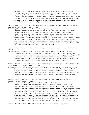the remaining three month experience for Joe and his two high-school friends. Coping with a scheming landlord, boring employment, and a threeway rivalry for the attentions of the beautiful and intense Jessica combine to create an unforgettable summer for the trio. Determined above all not to earn an eviction notice from his brother's apartment at the season's close, Joe concocts a creative solution to his mounting problems in this lighthearted, humorous novel. (Age 13 and older)

LeGuin, Ursula K. TEHANU; THE LAST BOOK OF EARTHSEA. A Jean Karl Book/Atheneum. 226 pages. (0-689-31595-3) \$15.95

A thoroughly developed non-Western fantasy world provides the setting for a complex completion of what is now LeGuin's Earthsea Quartet. The plot hinges upon what a child bearing the physical and emotional damage of her first years can and will do, while middle-aged Tamar and Ged are the vehicles through which the dual struggles of choice and identity attain mythic depth. Although winged dragons will always create excitement, a more typical characteristic of this novel is the way readers are consistently shown rather than told how each character responds to the other and to the dangers to be faced. Two maps chart the fantasy locales. Honor Book, 1990 CCBC Newbery Book Discussion. (Age 12 and older)

Myers, Walter Dean. THE MOUSE RAP. Harper & Row. 190 pages. (0-06-024343-0) \$12.95

An action-filled urban tall tale includes upbeat 14-year-old Mouse's summer involvements in his neighborhoods' dance contest, his first romance and events leading to cops-and-robbers-type escapades. Fast-paced dialogue full of humorous slang and priceless characterizations of peer and family interactions distinguish an entertaining story offering selected snapshots of lively contemporary African-American young teens. (Ages 11-14)

Naidoo, Beverly. CHAIN OF FIRE. Illustrated by Eric Velasquez. J.B. Lippincott. 245 pages. (0-397-32426-X) \$12.95

A cinematic flow of events pictures a 15-year-old teen-aged girl and her friend who became involved in a dangerous resistance to the forced removal of everyone in their village to a remote, barren "homeland." This fictional picture of contemporary black South African youth who become politicized by realities of apartheid is a sequel to JOURNEY TO JO'BURG. (Age 12 and older)

Naylor, Phyllis Reynolds. SEND NO BLESSINGS. A Jean Karl Book/Atheneum. 231 pages. (0-689-31582-1) \$13.95

Beth, a sophomore in high school and the oldest of eight children, seriously doubts the wisdom of her mother's calling her children "blessings." Although she loves her siblings, Beth can't help but resent the family's lifestyle in an overcrowded, dilapidated trailer home and the demands placed on her as caretaker. Discovering that her mother is expecting yet another blessing is almost more than Beth can bear. Determined to find an escape from her present life, she concentrates on her goal of becoming a typist, until Harless Prather offers an alternative option. A strong depiction of poverty and the limited choices it often represents, the story is at its best when Beth gains understanding of her parents' motivations, and becomes able to appreciate both their strengths and failings. (Age 13 and older)

Pierce, Meredith Ann. THE PEARL OF THE SOUL OF THE WORLD. Joy Street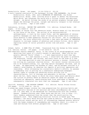Books/Little, Brown. 243 pages. (0-316-70743-0) \$15.95

A multi-layered conclusion to the Darkangel Trilogy (THE DARKANGEL, Joy Street Books/Little, Brown, 1982, and A GATHERING OF GARGOYLES, Joy Street Books/Little, Brown, 1984) involves Ariel's quest to defeat the malevolent White Witch, who threatens the world with a vicious literal and emotional drought. As Aeriel follows the words of an ancient prophecy through great danger she develops the poise, insight and maturity integral to her eventual role in society. (Age 12 and older)

Rubinstein, Gillian. BEYOND THE LABYRINTH. U.S. edition: Orchard Books. 245 pages. (0-531-05899-9) \$14.95

An avid reader of Choose Your Own Adventure books, Brenton bases all his decisions on the throw of the dice. The arrival of an extraterrestrial anthropologist, a visit by his cousin Vicky, and the appearance of ominous graffiti messages all mark the onset of escalating events which eventually force Brenton to make momentous choices for the future. Set in contemporary Australia, the story effectively utilizes a fast pace and sense of impending disaster to intrigue readers of adventure and science fiction, while subtly exploring issues of racial prejudice across time and place. (Age 12 and older)

Schami, Rafik. A HAND FULL OF STARS. Translated from the German by Rika Lesser. U.S. edition: Dutton. 195 pages. (0-525-44535-8) \$14.95

Mid-twentieth century Damascus, Syria, is the locale of an autobiographical novel detailing four years of a youth's growth to adulthood. When told by his greatly admired "Uncle" Schami "... I have experienced so much that was important ... If I had learned to write, I would have the power to preserve the mountains, fields, and valleys, and every thorn on the stem of a rose ...", the high-spirited 14-year-old narrator secures a journal, thinking of his writing as a personal rearview mirror. His secret journal entries prove him to be forward-looking, too, and they mature throughout the book, just as he does. He experiences the boredom of labor, and he becomes involved in a romantic relationship; he observes the impacts of political oppression and censorship. After witnessing his journalistic mentor's efforts, he assumes a leadership role in putting out a subversive underground newspaper. Several types of courage are exhibited within writing rich in characterization, full of dialogue and memorable in setting. Specifics about the hot, dusty region in which the story takes place and details about the culture of poverty where an education cannot be taken for granted interlace an impressive, award-winning book first published in Germany and subsequently translated into more than ten languages. (Age 12 and older)

Sutcliff, Rosemary. THE SHINING COMPANY. U.S. edition: Farrar Straus Giroux. 295 pages. (0-374-36807-4) \$14.95

A young man named Prosper relates the long preparations for glorious battle and the idealistic heroism of 300 warriors and their shieldbearers who train in 600 C.E. near what is now Edinburgh for confrontations with the invading Saxons. Readers discover what these brave men did not live to know, i.e., their leaders understood from the outset that few would survive the extensive raid. This compelling historical fiction is based upon "The Gododdin," the early North British epic poem by Aneirin. Sutcliff's mastery of historical events and her skill at interweaving imagined sensory details with the human elements of comradeship and treachery result in a novel to read and discuss from several perspectives. (Age 12 and older)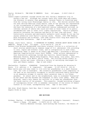Taylor, Mildred D. THE ROAD TO MEMPHIS. Dial. 240 pages. (0-8037-0340-6) \$14.95

Cassie Logan's personal courage serves her well during a dangerous trip in Stacey's new car. Although the journey lasts only three days and nights, the distance is greater than geographic, because Cassie is traveling away from her loving rural Mississippi family in 1941. Few choices existed then for most African-American young adults; some of the options are represented in the circumstances of Cassie and her friends. However, these teenagers did have the resources of a mid-twentieth century underground railroad, an informal network of adults who could aid them in those times of no public accommodations laws or other civil rights legislations. Taylor's powerful narrative recreates the tensions and perils of that time and place. This historically accurate and emotionally authentic novel stands on its own for anyone unfamiliar with Taylor's earlier works. Winner, 1990 CCBC Newbery Book Discussion and Co-Winner, 1990 CCBC Coretta Scott King Book Award for Writing Book Discussion. (Age 12 and older)

Thomas, Joyce Carol, editor. A GATHERING OF FLOWERS; STORIES ABOUT BEING YOUNG IN AMERICA. Harper & Row. 232 pages. (0-06-026174-9) \$14.89

- Authors from diverse backgrounds contribute original fiction to a collection of short stories exhibiting an immense range of U.S. adolescent life according to race, region and economic class, and in juxtaposition to each other, addressing "what it means to be ethnic and American," according to African-American compiler/writer Joyce Carol Thomas. Other writers represented in this distinctive anthology include Ana Castillo, Gerald Haslam, Jeanne Wakatsuki Houston, Maxine Hong Kingston, Kevin Kyung, Lois Lowry, Gary Soto, Gerald Vizenor, Rick Wernli and Al Young. The fictions differ widely in themes, styles and tones, offering a variety of satisfying challenges for male and female readers. (Age 14 and older)
- Zheleznikov, Vladimir. SCARECROW. Translated from the Russian by Antonina W. Bouis. U.S. edition: J. B. Lippincott. 148 pages. (0-397-32316-6) \$12.95 When twelve-year-old Lena comes to live with her grandfather in a small Russian town, her life is miserable. Her eccentric grandfather lives completely in the past as he continually struggles to reclaim scattered family paintings in an obsessive attempt to restore their ancestral home to its former grandeur. At school and in the neighborhood, Lena is nicknamed "Scarecrow" by her peers and she becomes the scapegoat in their cruel games. Weak and helpless, Lena's only chance for survival is to make her grandfather face the harsh reality of the present. This powerful, thought-provoking allegory of contemporary Soviet life is somewhat reminiscent of the novels of Robert Cormier in its bleak, uncompromising tone. (Age 12 and older)

See also: Black Beauty; Dark Way; Hear O Israel; Legend of Sleepy Hollow; Where Angels Glide at Dawn

#### **NEW EDITIONS**

Dickens, Charles. A CHRISTMAS CAROL. Illustrated by Roberto Innocenti. Stewart, Tabori & Chang. 152 pages. (1-55670-161-6) \$25.00 Miserly Ebenezer Scrooge, hard-working Bob Cratchit, the Ghosts of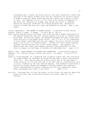Chrismases Past, Present and Future and all the other characters, events and settings of the famous Dickens story are well served by the artistic genius of Roberto Innocenti whose works here may well define the classic in years to come. The handsome 12  $1/4$ " x 8  $3/4$ " full-color volume is exemplary in the book arts, employing an elegant page design and layout to showcase watercolor paintings noteworthy for varying perspectives, imaginative sources of murky and snow-cast light and elements of realism. (Age 11 and older)

Irving, Washington. THE LEGEND OF SLEEPY HOLLOW. Illustrated by Gary Kelley. Stewart, Tabori & Chang. 63 pages. (0-55670-046-6) \$25.00

Page layouts decorated with occasional tiny black and white images reminiscent of new England gravestone carvings visually support the story of Ichabod Crane, Brom Bones, Katrina Van Tassel, the headless horseman and some of the early Dutch settlers in the Hudson River Valley. The 13  $1/4$ " x 8  $1/4$ " dimensions of this elegant unabridged edition also support the story, because the book seems to be as tall as Ichabod himself. Fifteen full-color chalk drawings recreate the setting and time of the Irving classic. The typeface is smaller than that some young readers typically find comfortable to read, which increases the challenge of reading the unabridged text. (Ages 11-14)

Sewell, Anna. BLACK BEAUTY; HIS GROOMS AND COMPANIONS. Illustrated by Charles Keeping. U.S. edition: Farrar, Straus and Giroux. 214 pages. (0-374-30776-8) \$19.95

- Sewell's "autobiography" of a workhorse had a powerful impact upon late Victorian attitudes toward the treatment of horses and has been in print continuously since 1877. This edition deserves classic status due to the publisher's close attention to the book arts and to the more than 80 illustrations, half in color, rendered by the late Charles Keeping. The handsome volume bears a distinctive jacket design and endpapers inviting readers into Keepings' visual understanding of horses in general and into his sympathetic views which correspond with those of the author. (Ages 11-14)
- See also: Christmas Sky; In Your Own Words; Little Tricker the Squirrel Meets Big Double the Bear; New Illustrated Dinosaur Dictionary; Wake Up, City!; Folklore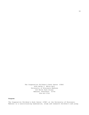The Cooperative Children's Book Center (CCBC) 4290 Helen C. White Hall University of Wisconsin-Madison 600 North Park Street Madison, Wisconsin 53706 608-263-3720

# **Purpose**

The Cooperative Children's Book Center (CCBC) at the University of Wisconsin-Madison is a noncirculating examination, study and research children's and young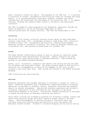adult literature library for adults. The purposes of the CCBC are: 1) to provide a collection of current, retrospective and historical books for children and young adults; 2) to provide Wisconsin librarians, teachers, students and others informational and educational services based on the collection; and 3) to support teaching, learning and research needs related to children's and young adult literature.

The CCBC is funded for these purposes by the UW-Madison, especially through the School of Education, and by the Wisconsin Department of Public Instruction/Division for Library Services. The CCBC was established in 1963.

# **Collection**

The 25,000 title library collection contains review copies of newly published juvenile trade books (15%); recommended children's trade books (50%); historical children's books (19%); contemporary and historical reference/bibliographic materials related to children's literature (7%); books by Wisconsin authors and illustrators (4%); and alternative press books for children (3%).

#### **Access**

The Dewey Decimal classification system is used to catalog all materials except the Alternative Press and Wisconsin Collections. Subject analytics are used extensively for card catalog access to reference materials. CCBC records are entered in the WISCAT statewide database.

Author, title, illustrator, translator and subject card catalog entries are made for children's and young adult books. Any known national award or distinction or selection tool recommendation is noted on the endpaper in the front of each children's and young adult book. CCBC records are entered in the WISCAT statewide database.

CCBC collections are noncirculating.

#### **Services**

Reference assistance from student employees is available to anyone on a walk-in basis. Reference assistance from a professional librarian/children's literature specialist is available to students, faculty, Wisconsin librarians and teachers, usually by advance arrangement. Specialized reference assistance and children's literature consultation is also available by mail and phone to the above constituents anywhere in the state. Intellectual freedom information is available to anyone serving minors in Wisconsin libraries and schools.

Tours and/or lectures are arranged as possible for university classes, library and school book selection groups and school inservice groups coming to the Book Center. CCBC bibliographies on selected children's literature topics are available along with selected award and distinction lists and annual CCBC Wisconsin-related records. Children's literature displays can be seen by walk-in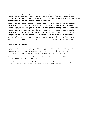library users. Monthly book discussions apply literary standards and book evaluation techniques to new books and are open to any student, faculty member, librarian, teacher or other interested adult who reads some of the scheduled books beforehand, as are the annual awards discussions.

Continuing education courses are taught via the UW-Madison Office of Outreach Development. As possible, the CCBC participates in statewide and regional conferences through the provision of book examination exhibits and/or leadership in scheduled sessions. A two-day children's literature conference is cosponsored every other year with CCBC funding units and the UW-Madison Office of Outreach Development. The next conference will be held on April 5-6, 1991. Persons interested in attending lectures, workshops or conferences or in obtaining bibliographies are asked to send a self-addressed, stamped envelope when they write requesting a list of CCBC Free Materials or "The CCBC This Season," a quarterly flyer briefly listing CCBC current information and program services.

#### **Public Service Schedule**

The CCBC is open twelve months a year for public service to adults interested in children's literature. The CCBC is open 49 hours weekly during the Fall and Spring semesters: Monday-Thursday 10-8, Friday 10-4 and Saturday 10-1. Professional reference assistance is available on call 30 hours weekly.

During Intersession, Summer School and University breaks, the CCBC is open 30 hours weekly: Monday-Friday 10-4.

For advance requests, extended hours can be arranged to accommodate campus course schedules as well as out-of-town users' arrivals and departures.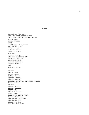Aamundsen, Nina Ring ACE, THE VERY IMPORTANT PIG AFRO-BETS FIRST BOOK ABOUT AFRICA Agard, John AGNES CECILIA AIDA Alexander, Sally Hobart ALL ABOARD A B C Allen, Jonathan Allende, Isabel AMERICAN WOMEN AMY SAID Ancona, George AND THEN THERE WAS ONE Anderson, William ARCTIC MEMORIES Arnold, Caroline Arthur, Malcolm Avi Avishai, Susan BABIES Bacon, Paul Baker, Keith Balian, Lorna Barber, Antonia Barton, Byron BASEBALL IN APRIL, AND OTHER STORIES Bash, Barbara BASKET Bayley, Nicola Baynes, Pauline BEACH DAY BECOMING GERSHONA Bell, Clare Bellville, Cheryl Walsh Berry, Christine BEYOND THE LABYRINTH BEYOND THE MYTH Bierhorst, John BIG BOOK FOR PEACE

INDEX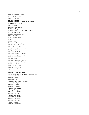BIG CONCRETE LORRY BILL OF RIGHTS BLACK AND WHITE BLACK BEAUTY BLACK HEROES OF THE WILD WEST Blakemore, Sally BLOCK BOOK Bogart, Jo Ellen Bollen, Roger BONES, BONES, DINOSAUR BONES Booth, George Bouis, Antonina W. BOX AND COX BOY IN THE MOON Boyd, Lizi BOYS' WAR Branley, Franklyn M. BREAKING THE CHAINS Breslow, Susan BRIGHT EYES, BROWN SKIN Broger, Achim Brooks, Martha Brooks, Polly Schoyer Brown, Mary Barrett Brown, Richard Brown, Marc Brown, Laurie Krasny Brusca, Maria Christina Bunting, Eve Burningham, John Burns, Diane L. Byers, Rinda M. Cafiero, Renee Vera CAME BACK TO SHOW YOU I COULD FLY Cannon, Annie Carle, Eric Carlson, Lori M. Carlstrom, Nancy White Cassedy, Sylvia Chaikin, Miriam CHAIN OF FIRE Chang, Raymond Chang, Margaret Chetwin, Grace CHRISTMAS SKY CHRISTMAS CAROL CHRISTMAS TIME CHRISTMAS STORY CHRISTMAS CARP CITY STREET CLASS PRESIDENT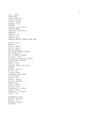Cole, Joanna COLOR FARM Cooney, Barbara Cooper, Martha Cormier, Robert Cousins, Lucy COUSINS Couture, Susan Arkin COWBOY DREAMS Crawford, Elizabeth D. CREATION Cummings, Pat Cupples, Pat Curtis, Gavin CYNTHIA GREGORY DANCES SWAN LAKE DANIEL'S DOG DARK WAY Davies, Andrew Davies, Diana Davis, Lambert DAY CHUBBY BECAME CHARLES DAY WE MET YOU DAY OF AHMED'S SECRET de Paola, Tomie De Regniers, Beatrice Schenk DEALING WITH DRAGONS Degen, Bruce Delacre, Lulu Denslow, Sharon Phillips DESERTS Dickens, Charles Dillon, Leo Dillon, Diane DINOSAURS DOWN UNDER DO LIKE KYLA Dodson, Bert Doherty, Berlie Dooling, Michael DORA'S BOOK Dorros, Arthur Dowling, Paul Dragonwagon, Crescent Dunbar, Joyce Dupasquier, Philippe Durell, Ann Earthworks Group Edwards, Michelle Ehlert, Lois Ekoomiak, Normee EL CHINO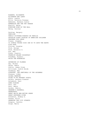ELEANOR, ELIZABETH ELIZABETH AND LARRY Elkin, Judith Ellis, Veronica Freeman Esbensen, Barbara Juster ESMERALDA AND THE PET PARADE Everitt, Betsy EVERYONE WINS AT TEE BALL Ewing, Carolyn Facklam, Margery FAMILIES FAMILY PICTURES/CUADROS DE FAMILIA FAVORITE SCARY STORIES OF AMERICAN CHILDREN FEATHERS FOR LUNCH Fieser, Stephen 50 SIMPLE THINGS KIDS CAN DO TO SAVE THE EARTH FISH EYES Florian, Douglas Ford, George Ford, Bernette G. Fox, Mem Frank, Josette FRANKLIN DELANO ROOSEVELT Freedman, Russell FRIDA THE WONDERCAT GATHERING OF FLOWERS Gay, Michel Geras, Adele Giblin, James Cross Gilliland, Judith Heide Ginsburg, Max GIRAFFES, THE SENTINELS OF THE SAVANNAS Gleeson, Libby GLOBAL WARMING GOING TO MY NURSERY SCHOOL Goldin, Barbara Diamond Golenbock, Paul GONE FISHING Goor, Ron Goor, Nancy Gordon, Sheila GRANDMA'S BASEBALL GRANDPAPPY GREAT WHITE MAN-EATING SHARK GREAT NORTHERN DIVER Greenblat, Rodney A. Greene, Ellin GREENING THE CITY STREETS Gregory, Cynthia Gripe, Maria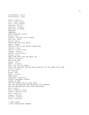Grosshandler, Henry Grosshandler, Janet Hafner, Marylin Hale, James Graham Hale, Sarah Josepha Hamanaka, Sheila Hamilton, Virginia HAND FULL OF STARS HANUKKAH HANUKKAH! HAPPY PASSOVER, ROSIE Harley, Rex HAROLD & CHESTER IN HOT FUDGE Hartling, Peter Harvey, Brett HATTIE AND THE WILD WAVES HEAR O ISRAEL HECTOR LIVES IN THE UNITED STATES NOW Hedlund, Irene Heide, Florence Parry Hemmant, Lynette Hendry, Frances Mary Henkes, Kevin HENRY AND MUDGE AND THE HAPPY CAT Herman, Charlotte HERO OVER HERE Hewett, Joan Hewett, Richard HEY! GET OFF OUR TRAIN HIGH RISE GLORIOUS SKITTLE SKAT ROARIOUS SKY PIE ANGEL FOOD CAKE Himler, Ronald Ho, Minfong Hoban, Tana Hoban, Lillian HOME PLACE Honeywood, Varnette P. HOUSE ON WALENSKA STREET HOUSES OF BARK HOW THE GUINEA FOWL GOT HER SPOTS HOW JOE THE BEAR AND SAM THE MOUSE GOT TOGETHER HOW TWO-FEATHER WAS SAVED FROM LONELINESS Howe, James Hoyt-Goldsmith, Diane Hudson, Cheryl Willis Huff, Barbara A Hughes, Shirley Hurwitz, Johanna Hutton, Warwick I CAN'T SLEEP I AM A JESSE WHITE TUMBLER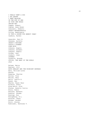I REALLY WANT A DOG I AM LEAPER I WENT WALKING IN THE EYE OF WAR IN YOUR OWN WORDS INDIAN WAY Ingpen, Robert Ingram, Anne Bower Innocenti, Roberto INSECT METAMORPHOSIS Irving, Washington IS THIS A HOUSE FOR HERMIT CRAB? Isadora, Rachel Janeczko, Paul B. Jenness, Aylette JESSE'S DAYCARE JODIE'S JOURNEY JOHN MUIR Johnson, Angela Johnson, Annabel Johnson, Pamela Jordan, Jael Joubert, Jean JOURNEY Joysmith, Brenda JULIUS, THE BABY OF THE WORLD JULY Kalman, Maira Kastner, Jill KATE SHELLEY AND THE MIDNIGHT EXPRESS Katz, William Loren Kazuko Keeping, Charles Kelley, True Kelley, Gary Kelly, Leslie A. Kesey, Ken Khalsa, Dayal Kaur Kilburn, Greta King-Smith, Dick Klause, Annette Curtis Klein, Robin Knutson, Barbara Koehler, Phoebe Koertge, Ron Konigsburg, E.L. Koralek, Jenny Korman, Gordon Kroll, Steven Kudlinski, Kathleen V.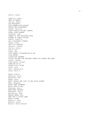Lagerlof, Selma LAND OF NARNIA Larrick, Nancy LAS NAVIDADES LAST SUMMER WITH MAIZON LATKES AND APPLESAUCE Lauber, Patricia LAURA INGALLS WILDER COUNTRY LAURA LOVES HORSES Lawrence, John LEGEND OF THE CHRISTMAS ROSE LEGEND OF SLEEPY HOLLOW LeGuin, Ursula K. LEO & BLOSSOM'S SUKKAH Lesser, Rika LET'S GO FISHING! Levertov, Denise Levitin, Sonia Lewin, Ted Lewis, Kim LIFE DOESN'T FRIGHTEN ME AT ALL LION DANCER LITTLE DOG LAUGHED LITTLE TRICKER THE SQUIRREL MEETS BIG DOUBLE THE BEAR Locker, Thomas Lomas Garza, Carmen LONG WAY TO GO LOSING JOE'S PLACE Lowry, Lois Lyon, George Ella Lyons, Mary E. Maass, Robert Macaulay, David MacDonald, Amy Magee, Doug MAGIC SCHOOL BUS LOST IN THE SOLAR SYSTEM Mahy, Margaret MAISY GOES SWIMMING MAISY GOES TO BED Majewska, Marie MAMA WENT WALKING Manushkin, Fran Marcellino, Fred MARIAH KEEPS COOL MARY HAD A LITTLE LAMB MARY'S TIGER Marzollo, Jean Mathers, Petra Mattox, Cheryl Warren

Kuklin, Susan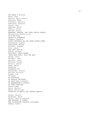MAX MAKES A MILLION Mazer, Anne McCully, Emily Arnold McDonald, Megan McKissack, Patricia McKissack, Fredrick McLain, Gary McMillan, Bruce McNulty, Faith Meltzer, Milton MENORAHS, MEZUZAS, AND OTHER JEWISH SYMBOLS Metropolitan Museum of Art MICE ARE NICE MIDDLE OF SOMEWHERE Migdale, Lawrence MIGHTY MOUNTAIN AND THE THREE STRONG WOMEN Mikolaycak, Charles MISSISSIPPI BRIDGE Mitchell, Stephen Molk, Laurel MOM CAN'T SEE ME Montez, Michele MOOG-MOOG, SPACE BARBER "MORE MORE MORE," SAID THE BABY Morgan, Pierr Morimoto, Isao Morimoto, Junko Morozumi, Atsuko Morrill, Leslie Moser, Barry MOUSE RAP MOUSEHOLE CAT Muhlberger, Richard Mullins, Patricia Murphy, Jim MY PLACE MY HIROSHIMA MY PRAIRIE CHRISTMAS MY DADDY WAS A SOLDIER MY GRANDMOTHER'S STORIES MY FIRST PASSOVER MYCCA'S BABY Myers, Bernice Myers, Walter Dean MYTHOLOGY OF MEXICO AND CENTRAL AMERICA Naidoo, Beverly Narahashi, Keiko Naylor, Phyllis Reynolds NEW TREASURY OF POETRY NEW ILLUSTRATED DINOSAUR DICTIONARY Newman, Robert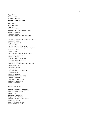Ng, Simon NIGHT OWLS Nolan, Dennis NORTH COUNTRY NIGHT OLD JOHN ONE GORILLA ONE SUN Oneal, Zibby Oppenheim, Shulamith Levey Ormai, Stella Ortega, Jose OTHER BELLS FOR US TO RING PARADISE CAFE AND OTHER STORIES Paulsen, Gary Payne, Brian W. Paz, Elena PEACE BEGINS WITH YOU PEARL OF THE SOUL OF THE WORLD Pearson, Kit Pelz, Ruth PEOPLE WHO HUGGED THE TREES Perrault, Charles Philip, Neil Piana, Leandro Della Pierce, Meredith Ann Pinkney, Jerry PLACE MY WORDS ARE LOOKING FOR PLAYING HOCKEY POONAM'S PETS Porter, Sue POSSUM COME A-KNOCKIN' POSSUM MAGIC Powzyk, Joyce PRETEND YOU'RE A CAT Price, Leontyne Priceman, Marjorie Pringle, Laurence PUSS IN BOOTS QUEST FOR A MAID RACHEL FISTER'S BLISTER RAIN FOREST SECRETS RAIN TALK Ransome, James E. Rappaport, Doreen RATHA AND THISTLE-CHASER Rawlins, Donna Ray, Deborah Kogan RICE WITHOUT RAIN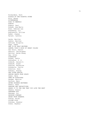Richardson, Ruth RIDDLE OF THE ROSETTA STONE Ritz, Karen RIVERKEEPER ROAD TO MEMPHIS ROBOTS Rogers, Paul Rosado, Ana-Maria Rose, Deborah Lee Rosenberg, Liz Rubinstein, Gillian Ryder, Joanne Rylant, Cynthia Sachs, Marilyn Sadler, Marilyn Saflund, Birgitta Sage, James SAM IS MY HALF BROTHER SAMUEL TODD'S BOOK OF GREAT COLORS San Souci, Daniel Santoro, Christopher Sattler, Helen Roney Say, Allen SCARECROW Schami, Rafik Schindler, S. D. Schmidt, Gerald D. Schmidt, Diane Scholes, Katherine Schoberle, Cecile Schotter, Roni Schuett, Stacey SEA OTTER RESCUE SEEING EARTH FROM SPACE Semel, Nava SEND NO BLESSINGS Sendak, Maurice Serfozo, Mary SEVEN CHINESE BROTHERS Sewell, Anna SHADOWS AND REFLECTIONS SHAKE IT TO THE ONE THAT YOU LOVE THE BEST Shemie, Bonnie SHEPHERD BOY Sherman, Ori SHINING COMPANY SHOES FROM GRANDPA Sibley, Brian SILVER KISS Simckes, Seymour Simon, Seymour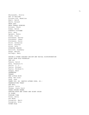Skurzynski, Gloria SKY IS FALLING Slovenz-Low, Madeline Small, David Smith, Roland SNOW LADY SNOW TOWARD EVENING Solomon, Chuck Soman, David SORROW'S KITCHEN Soto, Gary Spowart, Robin Stamm, Claus Stevenson, Harvey Stevenson, James Stevenson, Sucie Stock, Catherine Stott, Dorothy Strom, Yale SUGARING SEASON Sutcliff, Rosemary Swope, Martha Szilagyi, Mary TAKING A STAND AGAINST RACISM AND RACIAL DISCRIMINATION TALES FROM GOLD MOUNTAIN TAM LIN Tamura, David Tate, Eleanora E. Taylor, C. J. Taylor, Michael Taylor, Mildred D. Teague, Mark TEAMMATES TEHANU TEN LITTLE MICE Teng, Mou-sien Teng, Jean THANK YOU, DR. MARTIN LUTHER KING, JR.! THANKSGIVING TREAT THE WALL Thiele, Colin Thomas, Joyce Carol THREE STRONG WOMEN THROUGH MOON AND STARS AND NIGHT SKIES TO SLEEP TODDLER TIME Tolan, Sally TOO MUCH Tornqvist, Marit Tornqvist, Rita TOTEM POLE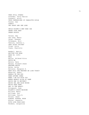TREE STILL STANDS Treseder, Terry Walton Tresselt, Alvin TRUE CONFESSIONS OF CHARLOTTE DOYLE Turner, Ann TURNIP TWO SHORT AND ONE LONG UNCLE WIZZMO'S NEW USED CAR UNDER YOUR FEET URBAN ROOSTS Valens, Amy Van Laan, Nancy Vargo, Vanessa Velasquez, Eric Ventura, Cynthia L. VERY QUIET CRICKET Vivas, Julie Voake, Charlotte Waddell, Martin WAITING FOR NOAH WAKE UP, CITY! WALL Walter, Mildred Pitts WATCH ME Waters, Kate Watson, Richard Jesse WEATHER WATCH Weihs, Erika Wetterer, Margaret K. WHAT WILL THE WEATHER BE LIKE TODAY? Wheatley, Nadia WHEELS ON THE BUS WHEN AUTUMN COMES WHEN I AM OLD WITH YOU WHERE ANGELS GLIDE AT DAWN WHICH ONE IS WHITNEY? WHITE OWL AND BLUE MOUSE WHITE PEAK FARM WHO IS THE BEAST? Wijngaard, Juan WILBUR'S SPACE MACHINE Willard, Nancy Williams, Sue Williams, Vera B. Wilson, Janet WINDOW, MIRROW, MOON Winter, Jeanette WITH LOVE FROM KOKO Woodson, Jacqueline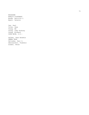WOODSONG WORLD'S BIRTHDAY Wrede, Patricia C. Wyatt, Valerie

Yee, Paul Yolen, Jane Young, Ed Young, Judy Dockrey Young, Richard YOUR MOVE, J.P.!

Zalben, Jane Breskin ZEBRA TALK Zelinsky, Paul O. Zheleznikov, Vladimir Ziebel, Peter